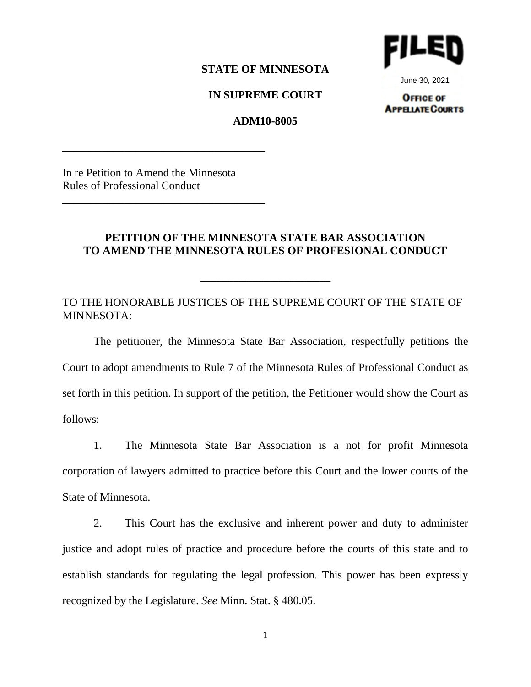#### **STATE OF MINNESOTA**



June 30, 2021

#### **IN SUPREME COURT**

**ADM10-8005** 

**OFFICE OF APPELATE COURTS** 

In re Petition to Amend the Minnesota Rules of Professional Conduct

\_\_\_\_\_\_\_\_\_\_\_\_\_\_\_\_\_\_\_\_\_\_\_\_\_\_\_\_\_\_\_\_\_\_\_\_

\_\_\_\_\_\_\_\_\_\_\_\_\_\_\_\_\_\_\_\_\_\_\_\_\_\_\_\_\_\_\_\_\_\_\_\_

### **PETITION OF THE MINNESOTA STATE BAR ASSOCIATION TO AMEND THE MINNESOTA RULES OF PROFESIONAL CONDUCT**

**\_\_\_\_\_\_\_\_\_\_\_\_\_\_\_\_\_\_\_\_\_\_\_** 

TO THE HONORABLE JUSTICES OF THE SUPREME COURT OF THE STATE OF MINNESOTA:

The petitioner, the Minnesota State Bar Association, respectfully petitions the Court to adopt amendments to Rule 7 of the Minnesota Rules of Professional Conduct as set forth in this petition. In support of the petition, the Petitioner would show the Court as follows:

 1. The Minnesota State Bar Association is a not for profit Minnesota corporation of lawyers admitted to practice before this Court and the lower courts of the State of Minnesota.

2. This Court has the exclusive and inherent power and duty to administer justice and adopt rules of practice and procedure before the courts of this state and to establish standards for regulating the legal profession. This power has been expressly recognized by the Legislature. *See* Minn. Stat. § 480.05.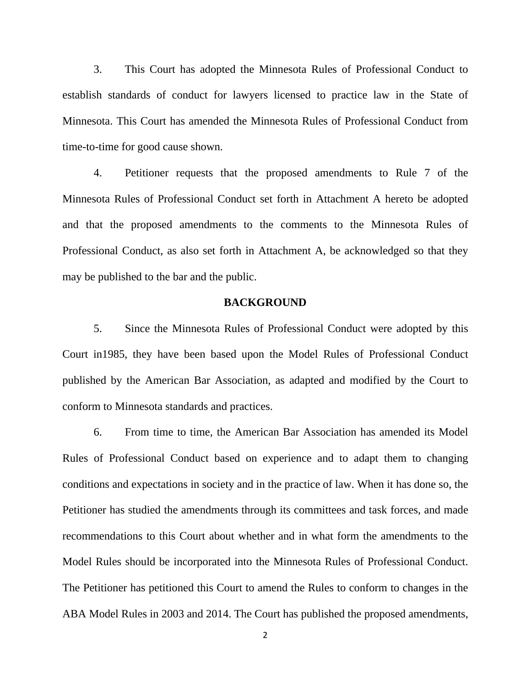3. This Court has adopted the Minnesota Rules of Professional Conduct to establish standards of conduct for lawyers licensed to practice law in the State of Minnesota. This Court has amended the Minnesota Rules of Professional Conduct from time-to-time for good cause shown.

4. Petitioner requests that the proposed amendments to Rule 7 of the Minnesota Rules of Professional Conduct set forth in Attachment A hereto be adopted and that the proposed amendments to the comments to the Minnesota Rules of Professional Conduct, as also set forth in Attachment A, be acknowledged so that they may be published to the bar and the public.

#### **BACKGROUND**

5. Since the Minnesota Rules of Professional Conduct were adopted by this Court in1985, they have been based upon the Model Rules of Professional Conduct published by the American Bar Association, as adapted and modified by the Court to conform to Minnesota standards and practices.

6. From time to time, the American Bar Association has amended its Model Rules of Professional Conduct based on experience and to adapt them to changing conditions and expectations in society and in the practice of law. When it has done so, the Petitioner has studied the amendments through its committees and task forces, and made recommendations to this Court about whether and in what form the amendments to the Model Rules should be incorporated into the Minnesota Rules of Professional Conduct. The Petitioner has petitioned this Court to amend the Rules to conform to changes in the ABA Model Rules in 2003 and 2014. The Court has published the proposed amendments,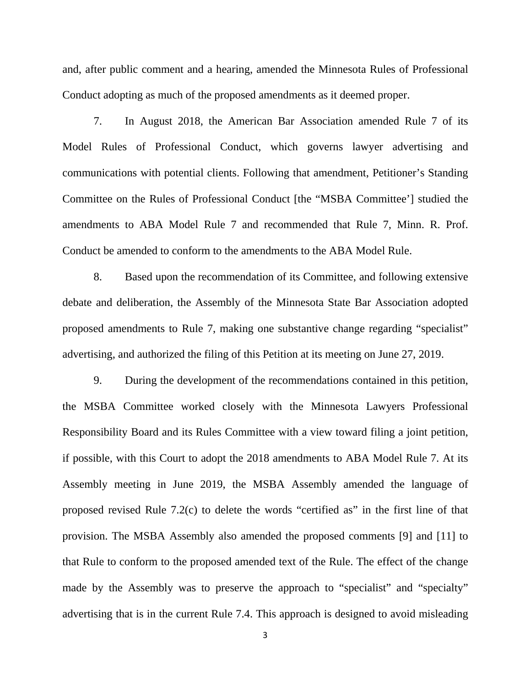and, after public comment and a hearing, amended the Minnesota Rules of Professional Conduct adopting as much of the proposed amendments as it deemed proper.

7. In August 2018, the American Bar Association amended Rule 7 of its Model Rules of Professional Conduct, which governs lawyer advertising and communications with potential clients. Following that amendment, Petitioner's Standing Committee on the Rules of Professional Conduct [the "MSBA Committee'] studied the amendments to ABA Model Rule 7 and recommended that Rule 7, Minn. R. Prof. Conduct be amended to conform to the amendments to the ABA Model Rule.

8. Based upon the recommendation of its Committee, and following extensive debate and deliberation, the Assembly of the Minnesota State Bar Association adopted proposed amendments to Rule 7, making one substantive change regarding "specialist" advertising, and authorized the filing of this Petition at its meeting on June 27, 2019.

9. During the development of the recommendations contained in this petition, the MSBA Committee worked closely with the Minnesota Lawyers Professional Responsibility Board and its Rules Committee with a view toward filing a joint petition, if possible, with this Court to adopt the 2018 amendments to ABA Model Rule 7. At its Assembly meeting in June 2019, the MSBA Assembly amended the language of proposed revised Rule 7.2(c) to delete the words "certified as" in the first line of that provision. The MSBA Assembly also amended the proposed comments [9] and [11] to that Rule to conform to the proposed amended text of the Rule. The effect of the change made by the Assembly was to preserve the approach to "specialist" and "specialty" advertising that is in the current Rule 7.4. This approach is designed to avoid misleading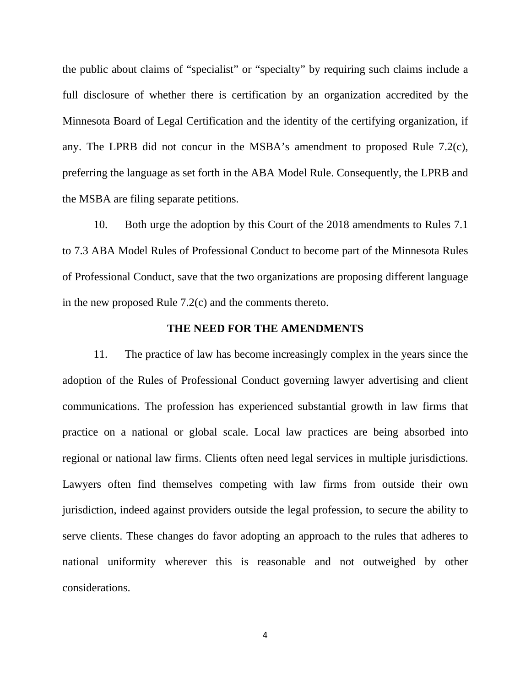the public about claims of "specialist" or "specialty" by requiring such claims include a full disclosure of whether there is certification by an organization accredited by the Minnesota Board of Legal Certification and the identity of the certifying organization, if any. The LPRB did not concur in the MSBA's amendment to proposed Rule 7.2(c), preferring the language as set forth in the ABA Model Rule. Consequently, the LPRB and the MSBA are filing separate petitions.

10. Both urge the adoption by this Court of the 2018 amendments to Rules 7.1 to 7.3 ABA Model Rules of Professional Conduct to become part of the Minnesota Rules of Professional Conduct, save that the two organizations are proposing different language in the new proposed Rule 7.2(c) and the comments thereto.

#### **THE NEED FOR THE AMENDMENTS**

11. The practice of law has become increasingly complex in the years since the adoption of the Rules of Professional Conduct governing lawyer advertising and client communications. The profession has experienced substantial growth in law firms that practice on a national or global scale. Local law practices are being absorbed into regional or national law firms. Clients often need legal services in multiple jurisdictions. Lawyers often find themselves competing with law firms from outside their own jurisdiction, indeed against providers outside the legal profession, to secure the ability to serve clients. These changes do favor adopting an approach to the rules that adheres to national uniformity wherever this is reasonable and not outweighed by other considerations.

4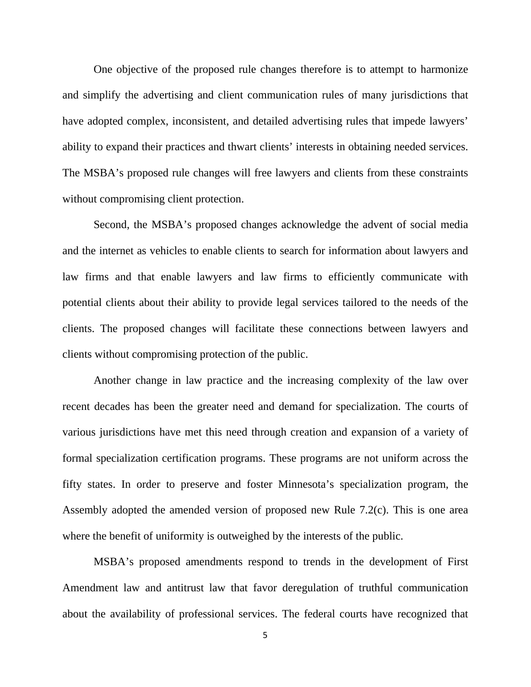One objective of the proposed rule changes therefore is to attempt to harmonize and simplify the advertising and client communication rules of many jurisdictions that have adopted complex, inconsistent, and detailed advertising rules that impede lawyers' ability to expand their practices and thwart clients' interests in obtaining needed services. The MSBA's proposed rule changes will free lawyers and clients from these constraints without compromising client protection.

 Second, the MSBA's proposed changes acknowledge the advent of social media and the internet as vehicles to enable clients to search for information about lawyers and law firms and that enable lawyers and law firms to efficiently communicate with potential clients about their ability to provide legal services tailored to the needs of the clients. The proposed changes will facilitate these connections between lawyers and clients without compromising protection of the public.

 Another change in law practice and the increasing complexity of the law over recent decades has been the greater need and demand for specialization. The courts of various jurisdictions have met this need through creation and expansion of a variety of formal specialization certification programs. These programs are not uniform across the fifty states. In order to preserve and foster Minnesota's specialization program, the Assembly adopted the amended version of proposed new Rule 7.2(c). This is one area where the benefit of uniformity is outweighed by the interests of the public.

 MSBA's proposed amendments respond to trends in the development of First Amendment law and antitrust law that favor deregulation of truthful communication about the availability of professional services. The federal courts have recognized that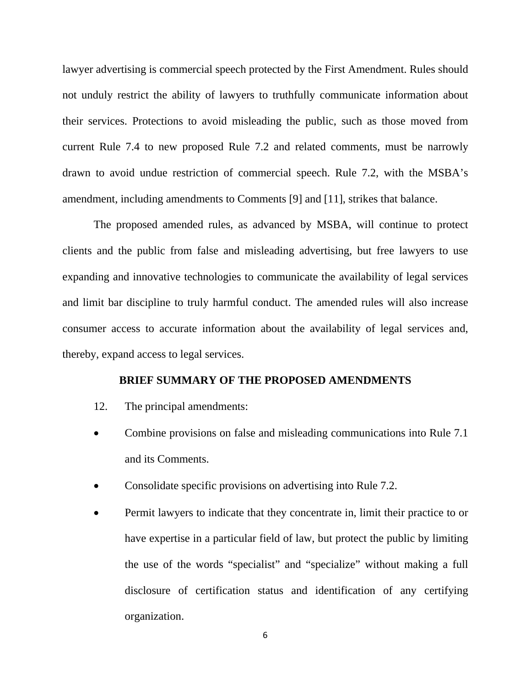lawyer advertising is commercial speech protected by the First Amendment. Rules should not unduly restrict the ability of lawyers to truthfully communicate information about their services. Protections to avoid misleading the public, such as those moved from current Rule 7.4 to new proposed Rule 7.2 and related comments, must be narrowly drawn to avoid undue restriction of commercial speech. Rule 7.2, with the MSBA's amendment, including amendments to Comments [9] and [11], strikes that balance.

The proposed amended rules, as advanced by MSBA, will continue to protect clients and the public from false and misleading advertising, but free lawyers to use expanding and innovative technologies to communicate the availability of legal services and limit bar discipline to truly harmful conduct. The amended rules will also increase consumer access to accurate information about the availability of legal services and, thereby, expand access to legal services.

#### **BRIEF SUMMARY OF THE PROPOSED AMENDMENTS**

- 12. The principal amendments:
- Combine provisions on false and misleading communications into Rule 7.1 and its Comments.
- Consolidate specific provisions on advertising into Rule 7.2.
- Permit lawyers to indicate that they concentrate in, limit their practice to or have expertise in a particular field of law, but protect the public by limiting the use of the words "specialist" and "specialize" without making a full disclosure of certification status and identification of any certifying organization.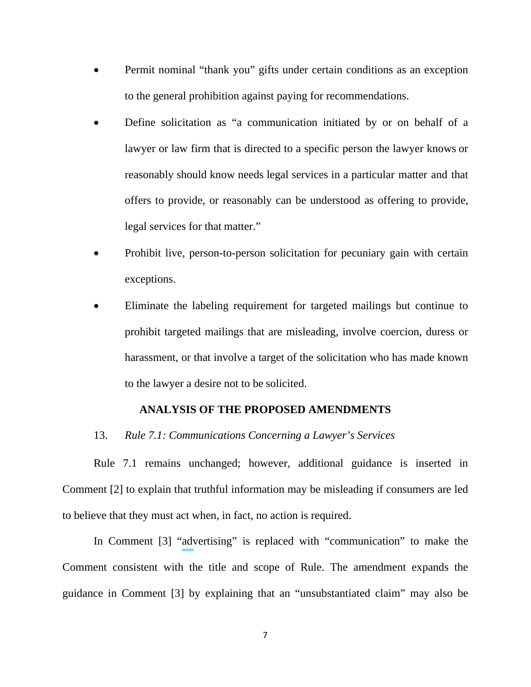- Permit nominal "thank you" gifts under certain conditions as an exception to the general prohibition against paying for recommendations.
- Define solicitation as "a communication initiated by or on behalf of a lawyer or law firm that is directed to a specific person the lawyer knows or reasonably should know needs legal services in a particular matter and that offers to provide, or reasonably can be understood as offering to provide, legal services for that matter."
- Prohibit live, person-to-person solicitation for pecuniary gain with certain exceptions.
- Eliminate the labeling requirement for targeted mailings but continue to prohibit targeted mailings that are misleading, involve coercion, duress or harassment, or that involve a target of the solicitation who has made known to the lawyer a desire not to be solicited.

#### **ANALYSIS OF THE PROPOSED AMENDMENTS**

13. *Rule 7.1: Communications Concerning a Lawyer's Services* 

Rule 7.1 remains unchanged; however, additional guidance is inserted in Comment [2] to explain that truthful information may be misleading if consumers are led to believe that they must act when, in fact, no action is required.

In Comment [3] "advertising" is replaced with "communication" to make the Comment consistent with the title and scope of Rule. The amendment expands the guidance in Comment [3] by explaining that an "unsubstantiated claim" may also be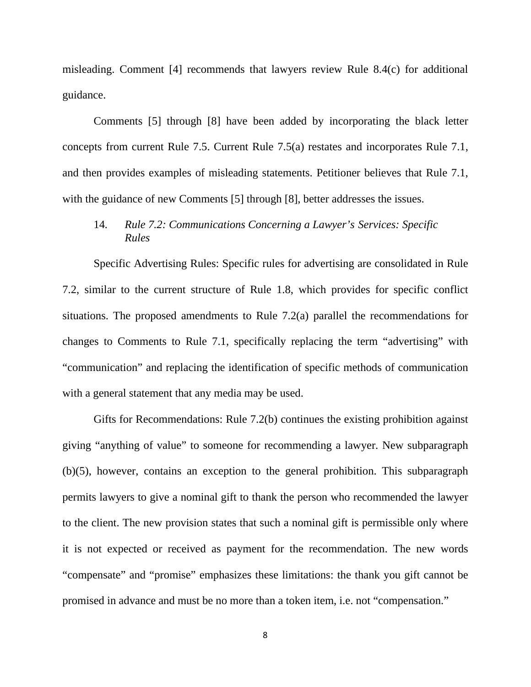misleading. Comment [4] recommends that lawyers review Rule 8.4(c) for additional guidance.

Comments [5] through [8] have been added by incorporating the black letter concepts from current Rule 7.5. Current Rule 7.5(a) restates and incorporates Rule 7.1, and then provides examples of misleading statements. Petitioner believes that Rule 7.1, with the guidance of new Comments [5] through [8], better addresses the issues.

## 14*. Rule 7.2: Communications Concerning a Lawyer's Services: Specific Rules*

Specific Advertising Rules: Specific rules for advertising are consolidated in Rule 7.2, similar to the current structure of Rule 1.8, which provides for specific conflict situations. The proposed amendments to Rule 7.2(a) parallel the recommendations for changes to Comments to Rule 7.1, specifically replacing the term "advertising" with "communication" and replacing the identification of specific methods of communication with a general statement that any media may be used.

Gifts for Recommendations: Rule 7.2(b) continues the existing prohibition against giving "anything of value" to someone for recommending a lawyer. New subparagraph (b)(5), however, contains an exception to the general prohibition. This subparagraph permits lawyers to give a nominal gift to thank the person who recommended the lawyer to the client. The new provision states that such a nominal gift is permissible only where it is not expected or received as payment for the recommendation. The new words "compensate" and "promise" emphasizes these limitations: the thank you gift cannot be promised in advance and must be no more than a token item, i.e. not "compensation."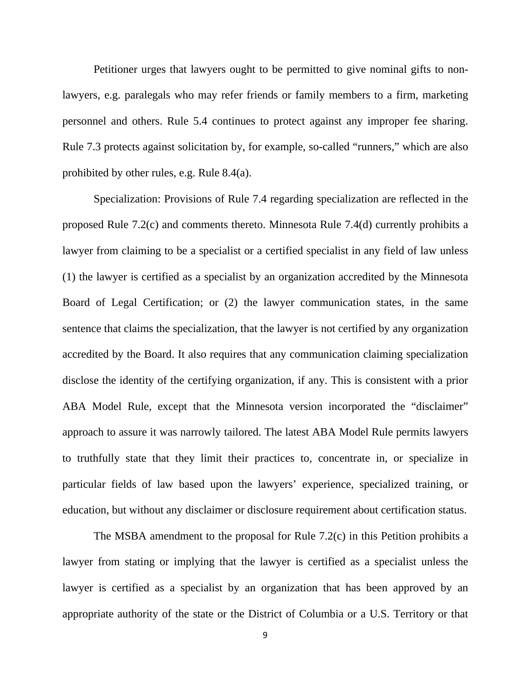Petitioner urges that lawyers ought to be permitted to give nominal gifts to nonlawyers, e.g. paralegals who may refer friends or family members to a firm, marketing personnel and others. Rule 5.4 continues to protect against any improper fee sharing. Rule 7.3 protects against solicitation by, for example, so-called "runners," which are also prohibited by other rules, e.g. Rule 8.4(a).

Specialization: Provisions of Rule 7.4 regarding specialization are reflected in the proposed Rule 7.2(c) and comments thereto. Minnesota Rule 7.4(d) currently prohibits a lawyer from claiming to be a specialist or a certified specialist in any field of law unless (1) the lawyer is certified as a specialist by an organization accredited by the Minnesota Board of Legal Certification; or (2) the lawyer communication states, in the same sentence that claims the specialization, that the lawyer is not certified by any organization accredited by the Board. It also requires that any communication claiming specialization disclose the identity of the certifying organization, if any. This is consistent with a prior ABA Model Rule, except that the Minnesota version incorporated the "disclaimer" approach to assure it was narrowly tailored. The latest ABA Model Rule permits lawyers to truthfully state that they limit their practices to, concentrate in, or specialize in particular fields of law based upon the lawyers' experience, specialized training, or education, but without any disclaimer or disclosure requirement about certification status.

The MSBA amendment to the proposal for Rule 7.2(c) in this Petition prohibits a lawyer from stating or implying that the lawyer is certified as a specialist unless the lawyer is certified as a specialist by an organization that has been approved by an appropriate authority of the state or the District of Columbia or a U.S. Territory or that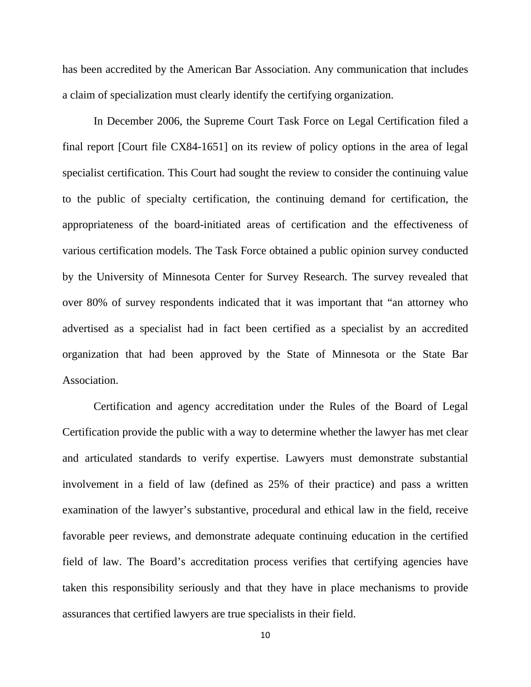has been accredited by the American Bar Association. Any communication that includes a claim of specialization must clearly identify the certifying organization.

In December 2006, the Supreme Court Task Force on Legal Certification filed a final report [Court file CX84-1651] on its review of policy options in the area of legal specialist certification. This Court had sought the review to consider the continuing value to the public of specialty certification, the continuing demand for certification, the appropriateness of the board-initiated areas of certification and the effectiveness of various certification models. The Task Force obtained a public opinion survey conducted by the University of Minnesota Center for Survey Research. The survey revealed that over 80% of survey respondents indicated that it was important that "an attorney who advertised as a specialist had in fact been certified as a specialist by an accredited organization that had been approved by the State of Minnesota or the State Bar Association.

Certification and agency accreditation under the Rules of the Board of Legal Certification provide the public with a way to determine whether the lawyer has met clear and articulated standards to verify expertise. Lawyers must demonstrate substantial involvement in a field of law (defined as 25% of their practice) and pass a written examination of the lawyer's substantive, procedural and ethical law in the field, receive favorable peer reviews, and demonstrate adequate continuing education in the certified field of law. The Board's accreditation process verifies that certifying agencies have taken this responsibility seriously and that they have in place mechanisms to provide assurances that certified lawyers are true specialists in their field.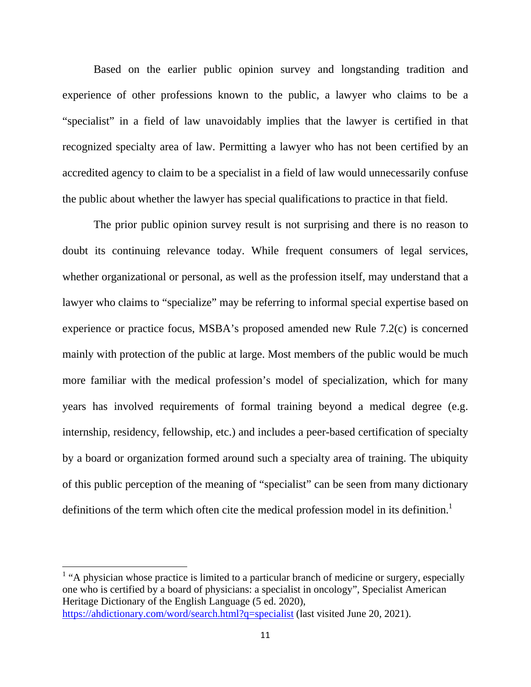Based on the earlier public opinion survey and longstanding tradition and experience of other professions known to the public, a lawyer who claims to be a "specialist" in a field of law unavoidably implies that the lawyer is certified in that recognized specialty area of law. Permitting a lawyer who has not been certified by an accredited agency to claim to be a specialist in a field of law would unnecessarily confuse the public about whether the lawyer has special qualifications to practice in that field.

The prior public opinion survey result is not surprising and there is no reason to doubt its continuing relevance today. While frequent consumers of legal services, whether organizational or personal, as well as the profession itself, may understand that a lawyer who claims to "specialize" may be referring to informal special expertise based on experience or practice focus, MSBA's proposed amended new Rule 7.2(c) is concerned mainly with protection of the public at large. Most members of the public would be much more familiar with the medical profession's model of specialization, which for many years has involved requirements of formal training beyond a medical degree (e.g. internship, residency, fellowship, etc.) and includes a peer-based certification of specialty by a board or organization formed around such a specialty area of training. The ubiquity of this public perception of the meaning of "specialist" can be seen from many dictionary definitions of the term which often cite the medical profession model in its definition.<sup>1</sup>

<sup>1</sup> "A physician whose practice is limited to a particular branch of medicine or surgery, especially one who is certified by a board of physicians: a specialist in oncology", Specialist American Heritage Dictionary of the English Language (5 ed. 2020), https://ahdictionary.com/word/search.html?q=specialist (last visited June 20, 2021).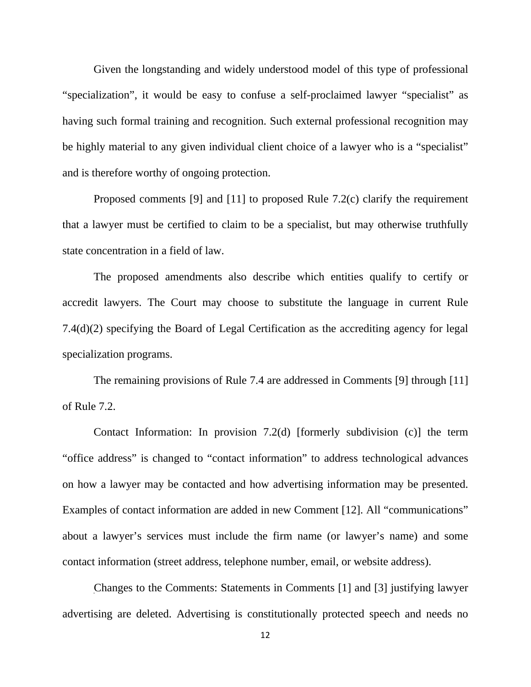Given the longstanding and widely understood model of this type of professional "specialization", it would be easy to confuse a self-proclaimed lawyer "specialist" as having such formal training and recognition. Such external professional recognition may be highly material to any given individual client choice of a lawyer who is a "specialist" and is therefore worthy of ongoing protection.

Proposed comments [9] and [11] to proposed Rule 7.2(c) clarify the requirement that a lawyer must be certified to claim to be a specialist, but may otherwise truthfully state concentration in a field of law.

The proposed amendments also describe which entities qualify to certify or accredit lawyers. The Court may choose to substitute the language in current Rule 7.4(d)(2) specifying the Board of Legal Certification as the accrediting agency for legal specialization programs.

The remaining provisions of Rule 7.4 are addressed in Comments [9] through [11] of Rule 7.2.

Contact Information: In provision 7.2(d) [formerly subdivision (c)] the term "office address" is changed to "contact information" to address technological advances on how a lawyer may be contacted and how advertising information may be presented. Examples of contact information are added in new Comment [12]. All "communications" about a lawyer's services must include the firm name (or lawyer's name) and some contact information (street address, telephone number, email, or website address).

 Changes to the Comments: Statements in Comments [1] and [3] justifying lawyer advertising are deleted. Advertising is constitutionally protected speech and needs no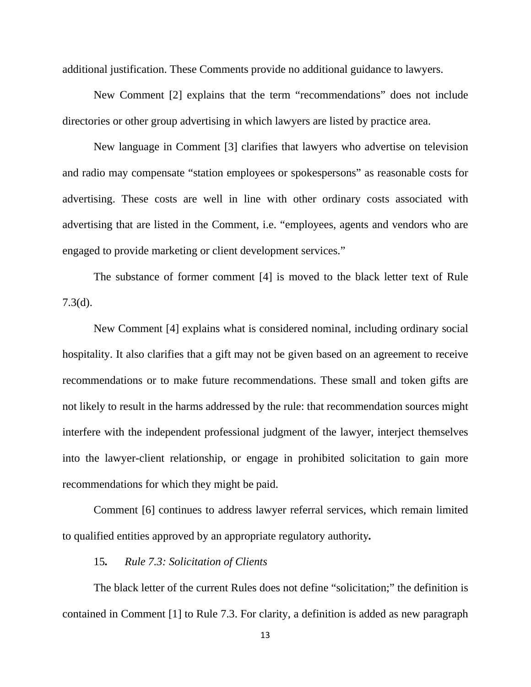additional justification. These Comments provide no additional guidance to lawyers.

New Comment [2] explains that the term "recommendations" does not include directories or other group advertising in which lawyers are listed by practice area.

New language in Comment [3] clarifies that lawyers who advertise on television and radio may compensate "station employees or spokespersons" as reasonable costs for advertising. These costs are well in line with other ordinary costs associated with advertising that are listed in the Comment, i.e. "employees, agents and vendors who are engaged to provide marketing or client development services."

The substance of former comment [4] is moved to the black letter text of Rule 7.3(d).

New Comment [4] explains what is considered nominal, including ordinary social hospitality. It also clarifies that a gift may not be given based on an agreement to receive recommendations or to make future recommendations. These small and token gifts are not likely to result in the harms addressed by the rule: that recommendation sources might interfere with the independent professional judgment of the lawyer, interject themselves into the lawyer-client relationship, or engage in prohibited solicitation to gain more recommendations for which they might be paid.

Comment [6] continues to address lawyer referral services, which remain limited to qualified entities approved by an appropriate regulatory authority*.* 

#### 15*. Rule 7.3: Solicitation of Clients*

The black letter of the current Rules does not define "solicitation;" the definition is contained in Comment [1] to Rule 7.3. For clarity, a definition is added as new paragraph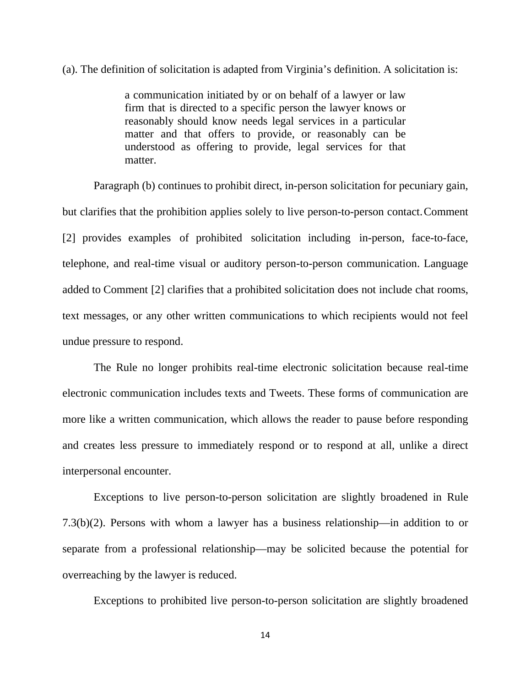(a). The definition of solicitation is adapted from Virginia's definition. A solicitation is:

a communication initiated by or on behalf of a lawyer or law firm that is directed to a specific person the lawyer knows or reasonably should know needs legal services in a particular matter and that offers to provide, or reasonably can be understood as offering to provide, legal services for that matter.

Paragraph (b) continues to prohibit direct, in-person solicitation for pecuniary gain, but clarifies that the prohibition applies solely to live person-to-person contact. Comment [2] provides examples of prohibited solicitation including in-person, face-to-face, telephone, and real-time visual or auditory person-to-person communication. Language added to Comment [2] clarifies that a prohibited solicitation does not include chat rooms, text messages, or any other written communications to which recipients would not feel undue pressure to respond.

The Rule no longer prohibits real-time electronic solicitation because real-time electronic communication includes texts and Tweets. These forms of communication are more like a written communication, which allows the reader to pause before responding and creates less pressure to immediately respond or to respond at all, unlike a direct interpersonal encounter.

Exceptions to live person-to-person solicitation are slightly broadened in Rule 7.3(b)(2). Persons with whom a lawyer has a business relationship—in addition to or separate from a professional relationship—may be solicited because the potential for overreaching by the lawyer is reduced.

Exceptions to prohibited live person-to-person solicitation are slightly broadened

14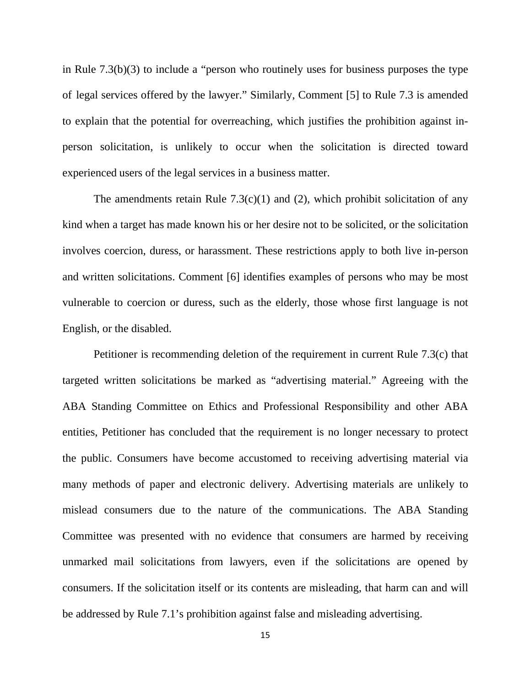in Rule 7.3(b)(3) to include a "person who routinely uses for business purposes the type of legal services offered by the lawyer." Similarly, Comment [5] to Rule 7.3 is amended to explain that the potential for overreaching, which justifies the prohibition against inperson solicitation, is unlikely to occur when the solicitation is directed toward experienced users of the legal services in a business matter.

The amendments retain Rule  $7.3(c)(1)$  and (2), which prohibit solicitation of any kind when a target has made known his or her desire not to be solicited, or the solicitation involves coercion, duress, or harassment. These restrictions apply to both live in-person and written solicitations. Comment [6] identifies examples of persons who may be most vulnerable to coercion or duress, such as the elderly, those whose first language is not English, or the disabled.

Petitioner is recommending deletion of the requirement in current Rule 7.3(c) that targeted written solicitations be marked as "advertising material." Agreeing with the ABA Standing Committee on Ethics and Professional Responsibility and other ABA entities, Petitioner has concluded that the requirement is no longer necessary to protect the public. Consumers have become accustomed to receiving advertising material via many methods of paper and electronic delivery. Advertising materials are unlikely to mislead consumers due to the nature of the communications. The ABA Standing Committee was presented with no evidence that consumers are harmed by receiving unmarked mail solicitations from lawyers, even if the solicitations are opened by consumers. If the solicitation itself or its contents are misleading, that harm can and will be addressed by Rule 7.1's prohibition against false and misleading advertising.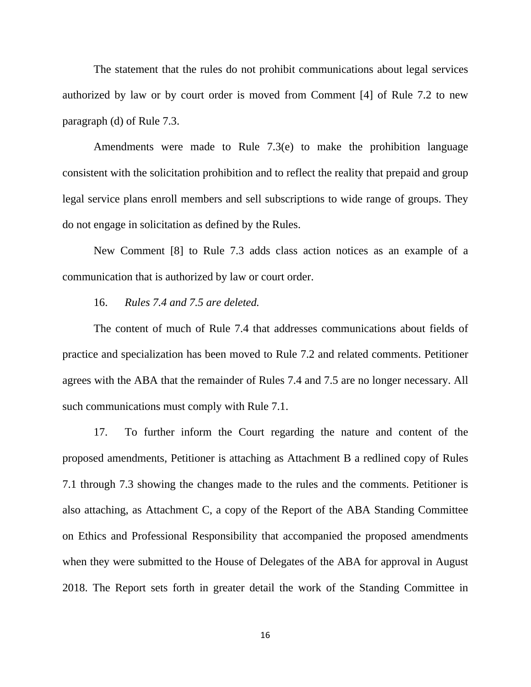The statement that the rules do not prohibit communications about legal services authorized by law or by court order is moved from Comment [4] of Rule 7.2 to new paragraph (d) of Rule 7.3.

Amendments were made to Rule 7.3(e) to make the prohibition language consistent with the solicitation prohibition and to reflect the reality that prepaid and group legal service plans enroll members and sell subscriptions to wide range of groups. They do not engage in solicitation as defined by the Rules.

New Comment [8] to Rule 7.3 adds class action notices as an example of a communication that is authorized by law or court order.

#### 16. *Rules 7.4 and 7.5 are deleted.*

The content of much of Rule 7.4 that addresses communications about fields of practice and specialization has been moved to Rule 7.2 and related comments. Petitioner agrees with the ABA that the remainder of Rules 7.4 and 7.5 are no longer necessary. All such communications must comply with Rule 7.1.

17. To further inform the Court regarding the nature and content of the proposed amendments, Petitioner is attaching as Attachment B a redlined copy of Rules 7.1 through 7.3 showing the changes made to the rules and the comments. Petitioner is also attaching, as Attachment C, a copy of the Report of the ABA Standing Committee on Ethics and Professional Responsibility that accompanied the proposed amendments when they were submitted to the House of Delegates of the ABA for approval in August 2018. The Report sets forth in greater detail the work of the Standing Committee in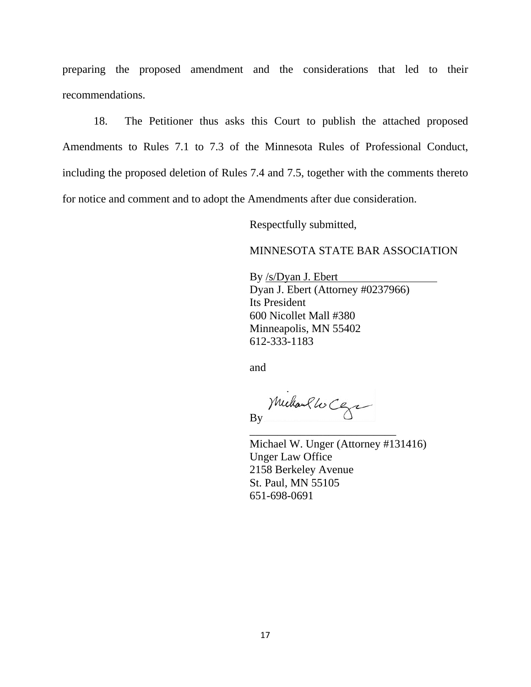preparing the proposed amendment and the considerations that led to their recommendations.

18. The Petitioner thus asks this Court to publish the attached proposed Amendments to Rules 7.1 to 7.3 of the Minnesota Rules of Professional Conduct, including the proposed deletion of Rules 7.4 and 7.5, together with the comments thereto for notice and comment and to adopt the Amendments after due consideration.

Respectfully submitted,

#### MINNESOTA STATE BAR ASSOCIATION

 By /s/Dyan J. Ebert Dyan J. Ebert (Attorney #0237966) Its President 600 Nicollet Mall #380 Minneapolis, MN 55402 612-333-1183

and

Michael Lo Ceza  $By$ 

\_\_\_\_\_\_\_\_\_\_\_\_\_\_\_\_\_\_\_\_\_\_\_\_\_\_

Michael W. Unger (Attorney #131416) Unger Law Office 2158 Berkeley Avenue St. Paul, MN 55105 651-698-0691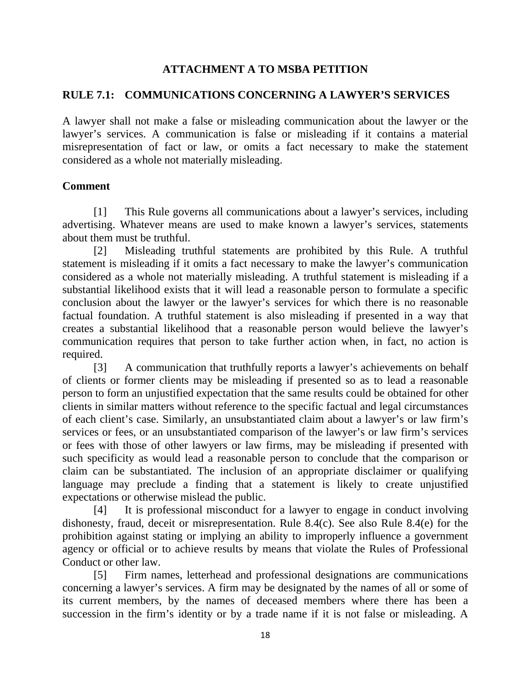## **ATTACHMENT A TO MSBA PETITION**

## **RULE 7.1: COMMUNICATIONS CONCERNING A LAWYER'S SERVICES**

A lawyer shall not make a false or misleading communication about the lawyer or the lawyer's services. A communication is false or misleading if it contains a material misrepresentation of fact or law, or omits a fact necessary to make the statement considered as a whole not materially misleading.

### **Comment**

 [1] This Rule governs all communications about a lawyer's services, including advertising. Whatever means are used to make known a lawyer's services, statements about them must be truthful.

 [2] Misleading truthful statements are prohibited by this Rule. A truthful statement is misleading if it omits a fact necessary to make the lawyer's communication considered as a whole not materially misleading. A truthful statement is misleading if a substantial likelihood exists that it will lead a reasonable person to formulate a specific conclusion about the lawyer or the lawyer's services for which there is no reasonable factual foundation. A truthful statement is also misleading if presented in a way that creates a substantial likelihood that a reasonable person would believe the lawyer's communication requires that person to take further action when, in fact, no action is required.

 [3] A communication that truthfully reports a lawyer's achievements on behalf of clients or former clients may be misleading if presented so as to lead a reasonable person to form an unjustified expectation that the same results could be obtained for other clients in similar matters without reference to the specific factual and legal circumstances of each client's case. Similarly, an unsubstantiated claim about a lawyer's or law firm's services or fees, or an unsubstantiated comparison of the lawyer's or law firm's services or fees with those of other lawyers or law firms, may be misleading if presented with such specificity as would lead a reasonable person to conclude that the comparison or claim can be substantiated. The inclusion of an appropriate disclaimer or qualifying language may preclude a finding that a statement is likely to create unjustified expectations or otherwise mislead the public.

 [4] It is professional misconduct for a lawyer to engage in conduct involving dishonesty, fraud, deceit or misrepresentation. Rule 8.4(c). See also Rule 8.4(e) for the prohibition against stating or implying an ability to improperly influence a government agency or official or to achieve results by means that violate the Rules of Professional Conduct or other law.

 [5] Firm names, letterhead and professional designations are communications concerning a lawyer's services. A firm may be designated by the names of all or some of its current members, by the names of deceased members where there has been a succession in the firm's identity or by a trade name if it is not false or misleading. A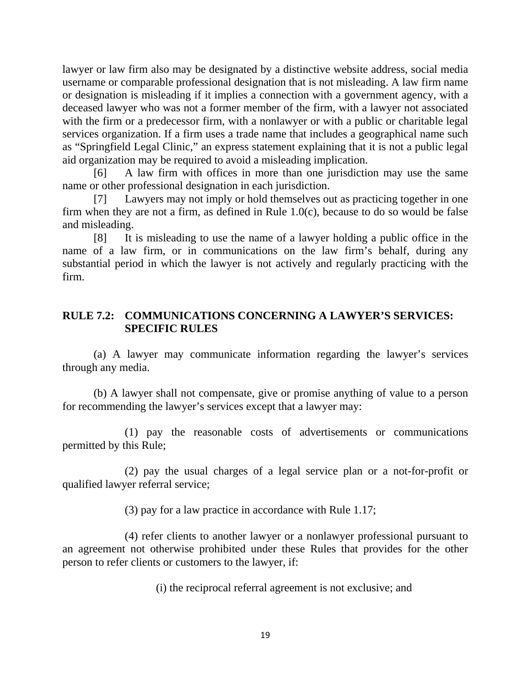lawyer or law firm also may be designated by a distinctive website address, social media username or comparable professional designation that is not misleading. A law firm name or designation is misleading if it implies a connection with a government agency, with a deceased lawyer who was not a former member of the firm, with a lawyer not associated with the firm or a predecessor firm, with a nonlawyer or with a public or charitable legal services organization. If a firm uses a trade name that includes a geographical name such as "Springfield Legal Clinic," an express statement explaining that it is not a public legal aid organization may be required to avoid a misleading implication.

 [6] A law firm with offices in more than one jurisdiction may use the same name or other professional designation in each jurisdiction.

 [7] Lawyers may not imply or hold themselves out as practicing together in one firm when they are not a firm, as defined in Rule  $1.0(c)$ , because to do so would be false and misleading.

 [8] It is misleading to use the name of a lawyer holding a public office in the name of a law firm, or in communications on the law firm's behalf, during any substantial period in which the lawyer is not actively and regularly practicing with the firm.

## **RULE 7.2: COMMUNICATIONS CONCERNING A LAWYER'S SERVICES: SPECIFIC RULES**

 (a) A lawyer may communicate information regarding the lawyer's services through any media.

 (b) A lawyer shall not compensate, give or promise anything of value to a person for recommending the lawyer's services except that a lawyer may:

 (1) pay the reasonable costs of advertisements or communications permitted by this Rule;

 (2) pay the usual charges of a legal service plan or a not-for-profit or qualified lawyer referral service;

(3) pay for a law practice in accordance with Rule 1.17;

 (4) refer clients to another lawyer or a nonlawyer professional pursuant to an agreement not otherwise prohibited under these Rules that provides for the other person to refer clients or customers to the lawyer, if:

(i) the reciprocal referral agreement is not exclusive; and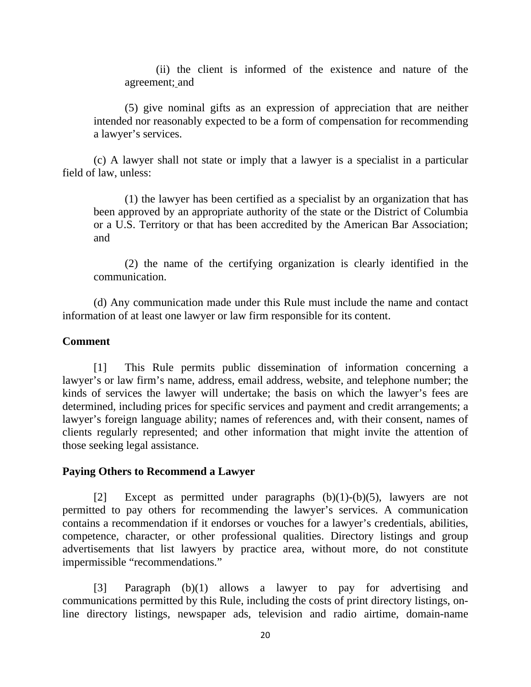(ii) the client is informed of the existence and nature of the agreement; and

 (5) give nominal gifts as an expression of appreciation that are neither intended nor reasonably expected to be a form of compensation for recommending a lawyer's services.

 (c) A lawyer shall not state or imply that a lawyer is a specialist in a particular field of law, unless:

 (1) the lawyer has been certified as a specialist by an organization that has been approved by an appropriate authority of the state or the District of Columbia or a U.S. Territory or that has been accredited by the American Bar Association; and

 (2) the name of the certifying organization is clearly identified in the communication.

 (d) Any communication made under this Rule must include the name and contact information of at least one lawyer or law firm responsible for its content.

### **Comment**

 [1] This Rule permits public dissemination of information concerning a lawyer's or law firm's name, address, email address, website, and telephone number; the kinds of services the lawyer will undertake; the basis on which the lawyer's fees are determined, including prices for specific services and payment and credit arrangements; a lawyer's foreign language ability; names of references and, with their consent, names of clients regularly represented; and other information that might invite the attention of those seeking legal assistance.

### **Paying Others to Recommend a Lawyer**

[2] Except as permitted under paragraphs  $(b)(1)-(b)(5)$ , lawyers are not permitted to pay others for recommending the lawyer's services. A communication contains a recommendation if it endorses or vouches for a lawyer's credentials, abilities, competence, character, or other professional qualities. Directory listings and group advertisements that list lawyers by practice area, without more, do not constitute impermissible "recommendations."

 [3] Paragraph (b)(1) allows a lawyer to pay for advertising and communications permitted by this Rule, including the costs of print directory listings, online directory listings, newspaper ads, television and radio airtime, domain-name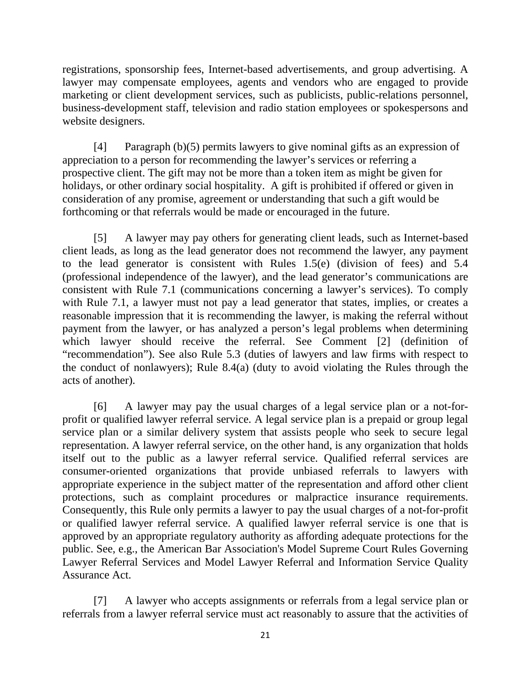registrations, sponsorship fees, Internet-based advertisements, and group advertising. A lawyer may compensate employees, agents and vendors who are engaged to provide marketing or client development services, such as publicists, public-relations personnel, business-development staff, television and radio station employees or spokespersons and website designers.

 [4] Paragraph (b)(5) permits lawyers to give nominal gifts as an expression of appreciation to a person for recommending the lawyer's services or referring a prospective client. The gift may not be more than a token item as might be given for holidays, or other ordinary social hospitality. A gift is prohibited if offered or given in consideration of any promise, agreement or understanding that such a gift would be forthcoming or that referrals would be made or encouraged in the future.

 [5] A lawyer may pay others for generating client leads, such as Internet-based client leads, as long as the lead generator does not recommend the lawyer, any payment to the lead generator is consistent with Rules 1.5(e) (division of fees) and 5.4 (professional independence of the lawyer), and the lead generator's communications are consistent with Rule 7.1 (communications concerning a lawyer's services). To comply with Rule 7.1, a lawyer must not pay a lead generator that states, implies, or creates a reasonable impression that it is recommending the lawyer, is making the referral without payment from the lawyer, or has analyzed a person's legal problems when determining which lawyer should receive the referral. See Comment [2] (definition of "recommendation"). See also Rule 5.3 (duties of lawyers and law firms with respect to the conduct of nonlawyers); Rule 8.4(a) (duty to avoid violating the Rules through the acts of another).

 [6] A lawyer may pay the usual charges of a legal service plan or a not-forprofit or qualified lawyer referral service. A legal service plan is a prepaid or group legal service plan or a similar delivery system that assists people who seek to secure legal representation. A lawyer referral service, on the other hand, is any organization that holds itself out to the public as a lawyer referral service. Qualified referral services are consumer-oriented organizations that provide unbiased referrals to lawyers with appropriate experience in the subject matter of the representation and afford other client protections, such as complaint procedures or malpractice insurance requirements. Consequently, this Rule only permits a lawyer to pay the usual charges of a not-for-profit or qualified lawyer referral service. A qualified lawyer referral service is one that is approved by an appropriate regulatory authority as affording adequate protections for the public. See, e.g., the American Bar Association's Model Supreme Court Rules Governing Lawyer Referral Services and Model Lawyer Referral and Information Service Quality Assurance Act.

 [7] A lawyer who accepts assignments or referrals from a legal service plan or referrals from a lawyer referral service must act reasonably to assure that the activities of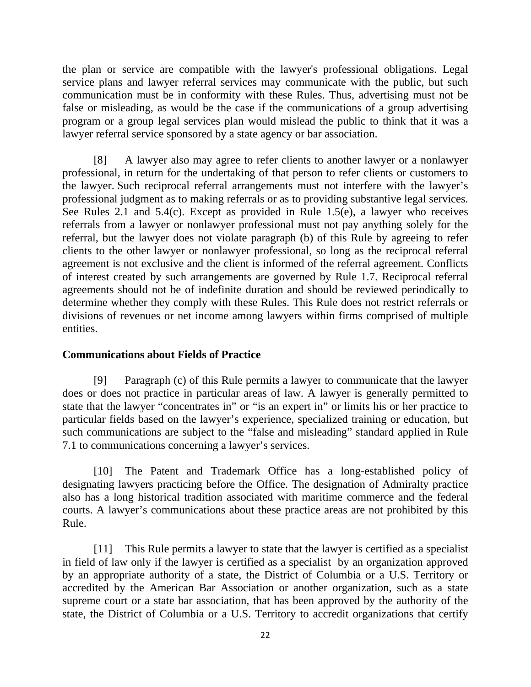the plan or service are compatible with the lawyer's professional obligations. Legal service plans and lawyer referral services may communicate with the public, but such communication must be in conformity with these Rules. Thus, advertising must not be false or misleading, as would be the case if the communications of a group advertising program or a group legal services plan would mislead the public to think that it was a lawyer referral service sponsored by a state agency or bar association.

 [8] A lawyer also may agree to refer clients to another lawyer or a nonlawyer professional, in return for the undertaking of that person to refer clients or customers to the lawyer. Such reciprocal referral arrangements must not interfere with the lawyer's professional judgment as to making referrals or as to providing substantive legal services. See Rules 2.1 and 5.4(c). Except as provided in Rule 1.5(e), a lawyer who receives referrals from a lawyer or nonlawyer professional must not pay anything solely for the referral, but the lawyer does not violate paragraph (b) of this Rule by agreeing to refer clients to the other lawyer or nonlawyer professional, so long as the reciprocal referral agreement is not exclusive and the client is informed of the referral agreement. Conflicts of interest created by such arrangements are governed by Rule 1.7. Reciprocal referral agreements should not be of indefinite duration and should be reviewed periodically to determine whether they comply with these Rules. This Rule does not restrict referrals or divisions of revenues or net income among lawyers within firms comprised of multiple entities.

### **Communications about Fields of Practice**

 [9] Paragraph (c) of this Rule permits a lawyer to communicate that the lawyer does or does not practice in particular areas of law. A lawyer is generally permitted to state that the lawyer "concentrates in" or "is an expert in" or limits his or her practice to particular fields based on the lawyer's experience, specialized training or education, but such communications are subject to the "false and misleading" standard applied in Rule 7.1 to communications concerning a lawyer's services.

 [10] The Patent and Trademark Office has a long-established policy of designating lawyers practicing before the Office. The designation of Admiralty practice also has a long historical tradition associated with maritime commerce and the federal courts. A lawyer's communications about these practice areas are not prohibited by this Rule.

 [11] This Rule permits a lawyer to state that the lawyer is certified as a specialist in field of law only if the lawyer is certified as a specialist by an organization approved by an appropriate authority of a state, the District of Columbia or a U.S. Territory or accredited by the American Bar Association or another organization, such as a state supreme court or a state bar association, that has been approved by the authority of the state, the District of Columbia or a U.S. Territory to accredit organizations that certify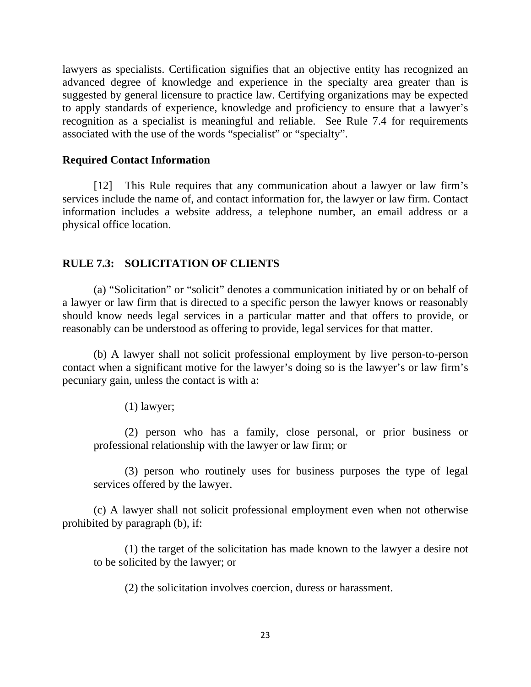lawyers as specialists. Certification signifies that an objective entity has recognized an advanced degree of knowledge and experience in the specialty area greater than is suggested by general licensure to practice law. Certifying organizations may be expected to apply standards of experience, knowledge and proficiency to ensure that a lawyer's recognition as a specialist is meaningful and reliable. See Rule 7.4 for requirements associated with the use of the words "specialist" or "specialty".

#### **Required Contact Information**

 [12] This Rule requires that any communication about a lawyer or law firm's services include the name of, and contact information for, the lawyer or law firm. Contact information includes a website address, a telephone number, an email address or a physical office location.

### **RULE 7.3: SOLICITATION OF CLIENTS**

 (a) "Solicitation" or "solicit" denotes a communication initiated by or on behalf of a lawyer or law firm that is directed to a specific person the lawyer knows or reasonably should know needs legal services in a particular matter and that offers to provide, or reasonably can be understood as offering to provide, legal services for that matter.

 (b) A lawyer shall not solicit professional employment by live person-to-person contact when a significant motive for the lawyer's doing so is the lawyer's or law firm's pecuniary gain, unless the contact is with a:

(1) lawyer;

 (2) person who has a family, close personal, or prior business or professional relationship with the lawyer or law firm; or

 (3) person who routinely uses for business purposes the type of legal services offered by the lawyer.

 (c) A lawyer shall not solicit professional employment even when not otherwise prohibited by paragraph (b), if:

 (1) the target of the solicitation has made known to the lawyer a desire not to be solicited by the lawyer; or

(2) the solicitation involves coercion, duress or harassment.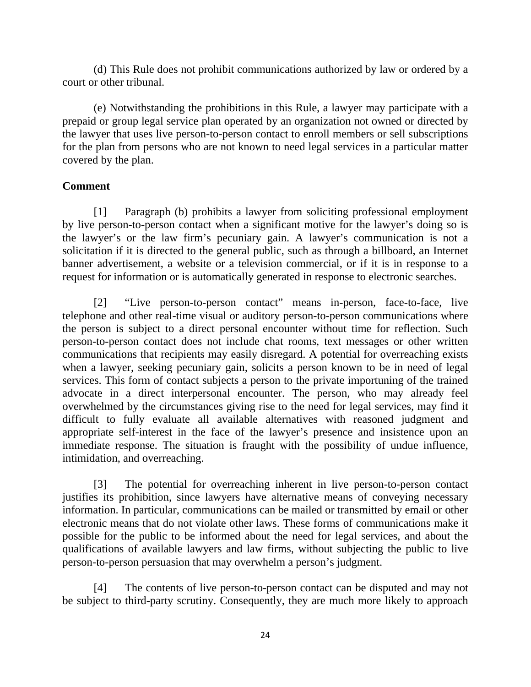(d) This Rule does not prohibit communications authorized by law or ordered by a court or other tribunal.

 (e) Notwithstanding the prohibitions in this Rule, a lawyer may participate with a prepaid or group legal service plan operated by an organization not owned or directed by the lawyer that uses live person-to-person contact to enroll members or sell subscriptions for the plan from persons who are not known to need legal services in a particular matter covered by the plan.

## **Comment**

 [1] Paragraph (b) prohibits a lawyer from soliciting professional employment by live person-to-person contact when a significant motive for the lawyer's doing so is the lawyer's or the law firm's pecuniary gain. A lawyer's communication is not a solicitation if it is directed to the general public, such as through a billboard, an Internet banner advertisement, a website or a television commercial, or if it is in response to a request for information or is automatically generated in response to electronic searches.

 [2] "Live person-to-person contact" means in-person, face-to-face, live telephone and other real-time visual or auditory person-to-person communications where the person is subject to a direct personal encounter without time for reflection. Such person-to-person contact does not include chat rooms, text messages or other written communications that recipients may easily disregard. A potential for overreaching exists when a lawyer, seeking pecuniary gain, solicits a person known to be in need of legal services. This form of contact subjects a person to the private importuning of the trained advocate in a direct interpersonal encounter. The person, who may already feel overwhelmed by the circumstances giving rise to the need for legal services, may find it difficult to fully evaluate all available alternatives with reasoned judgment and appropriate self-interest in the face of the lawyer's presence and insistence upon an immediate response. The situation is fraught with the possibility of undue influence, intimidation, and overreaching.

 [3] The potential for overreaching inherent in live person-to-person contact justifies its prohibition, since lawyers have alternative means of conveying necessary information. In particular, communications can be mailed or transmitted by email or other electronic means that do not violate other laws. These forms of communications make it possible for the public to be informed about the need for legal services, and about the qualifications of available lawyers and law firms, without subjecting the public to live person-to-person persuasion that may overwhelm a person's judgment.

 [4] The contents of live person-to-person contact can be disputed and may not be subject to third-party scrutiny. Consequently, they are much more likely to approach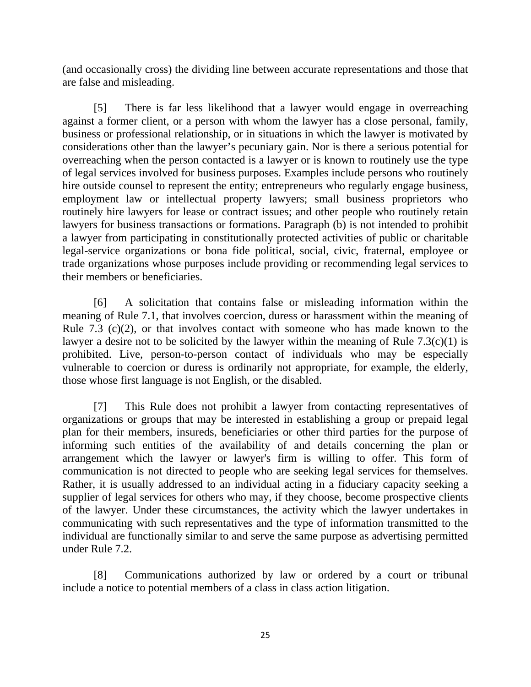(and occasionally cross) the dividing line between accurate representations and those that are false and misleading.

 [5] There is far less likelihood that a lawyer would engage in overreaching against a former client, or a person with whom the lawyer has a close personal, family, business or professional relationship, or in situations in which the lawyer is motivated by considerations other than the lawyer's pecuniary gain. Nor is there a serious potential for overreaching when the person contacted is a lawyer or is known to routinely use the type of legal services involved for business purposes. Examples include persons who routinely hire outside counsel to represent the entity; entrepreneurs who regularly engage business, employment law or intellectual property lawyers; small business proprietors who routinely hire lawyers for lease or contract issues; and other people who routinely retain lawyers for business transactions or formations. Paragraph (b) is not intended to prohibit a lawyer from participating in constitutionally protected activities of public or charitable legal-service organizations or bona fide political, social, civic, fraternal, employee or trade organizations whose purposes include providing or recommending legal services to their members or beneficiaries.

 [6] A solicitation that contains false or misleading information within the meaning of Rule 7.1, that involves coercion, duress or harassment within the meaning of Rule 7.3 (c)(2), or that involves contact with someone who has made known to the lawyer a desire not to be solicited by the lawyer within the meaning of Rule  $7.3(c)(1)$  is prohibited. Live, person-to-person contact of individuals who may be especially vulnerable to coercion or duress is ordinarily not appropriate, for example, the elderly, those whose first language is not English, or the disabled.

 [7] This Rule does not prohibit a lawyer from contacting representatives of organizations or groups that may be interested in establishing a group or prepaid legal plan for their members, insureds, beneficiaries or other third parties for the purpose of informing such entities of the availability of and details concerning the plan or arrangement which the lawyer or lawyer's firm is willing to offer. This form of communication is not directed to people who are seeking legal services for themselves. Rather, it is usually addressed to an individual acting in a fiduciary capacity seeking a supplier of legal services for others who may, if they choose, become prospective clients of the lawyer. Under these circumstances, the activity which the lawyer undertakes in communicating with such representatives and the type of information transmitted to the individual are functionally similar to and serve the same purpose as advertising permitted under Rule 7.2.

 [8] Communications authorized by law or ordered by a court or tribunal include a notice to potential members of a class in class action litigation.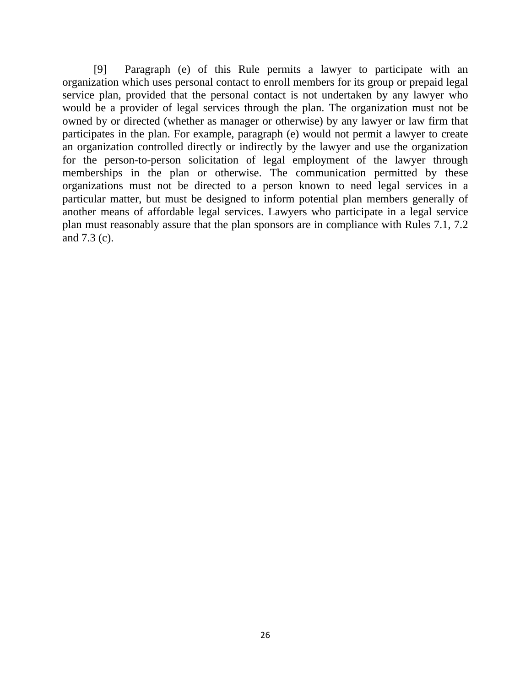[9] Paragraph (e) of this Rule permits a lawyer to participate with an organization which uses personal contact to enroll members for its group or prepaid legal service plan, provided that the personal contact is not undertaken by any lawyer who would be a provider of legal services through the plan. The organization must not be owned by or directed (whether as manager or otherwise) by any lawyer or law firm that participates in the plan. For example, paragraph (e) would not permit a lawyer to create an organization controlled directly or indirectly by the lawyer and use the organization for the person-to-person solicitation of legal employment of the lawyer through memberships in the plan or otherwise. The communication permitted by these organizations must not be directed to a person known to need legal services in a particular matter, but must be designed to inform potential plan members generally of another means of affordable legal services. Lawyers who participate in a legal service plan must reasonably assure that the plan sponsors are in compliance with Rules 7.1, 7.2 and 7.3 (c).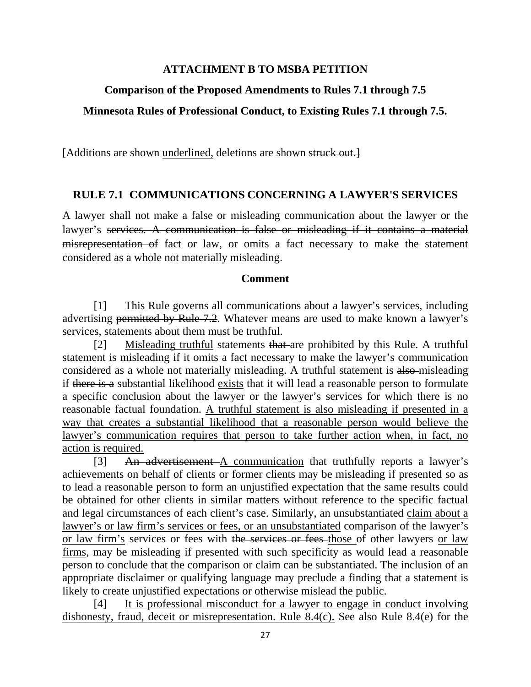### **ATTACHMENT B TO MSBA PETITION**

## **Comparison of the Proposed Amendments to Rules 7.1 through 7.5**

### **Minnesota Rules of Professional Conduct, to Existing Rules 7.1 through 7.5.**

[Additions are shown underlined, deletions are shown struck out.]

### **RULE 7.1 COMMUNICATIONS CONCERNING A LAWYER'S SERVICES**

A lawyer shall not make a false or misleading communication about the lawyer or the lawyer's services. A communication is false or misleading if it contains a material misrepresentation of fact or law, or omits a fact necessary to make the statement considered as a whole not materially misleading.

#### **Comment**

 [1] This Rule governs all communications about a lawyer's services, including advertising permitted by Rule 7.2. Whatever means are used to make known a lawyer's services, statements about them must be truthful.

[2] Misleading truthful statements that are prohibited by this Rule. A truthful statement is misleading if it omits a fact necessary to make the lawyer's communication considered as a whole not materially misleading. A truthful statement is also-misleading if there is a substantial likelihood exists that it will lead a reasonable person to formulate a specific conclusion about the lawyer or the lawyer's services for which there is no reasonable factual foundation. A truthful statement is also misleading if presented in a way that creates a substantial likelihood that a reasonable person would believe the lawyer's communication requires that person to take further action when, in fact, no action is required.

 [3] An advertisement A communication that truthfully reports a lawyer's achievements on behalf of clients or former clients may be misleading if presented so as to lead a reasonable person to form an unjustified expectation that the same results could be obtained for other clients in similar matters without reference to the specific factual and legal circumstances of each client's case. Similarly, an unsubstantiated claim about a lawyer's or law firm's services or fees, or an unsubstantiated comparison of the lawyer's or law firm's services or fees with the services or fees those of other lawyers or law firms, may be misleading if presented with such specificity as would lead a reasonable person to conclude that the comparison or claim can be substantiated. The inclusion of an appropriate disclaimer or qualifying language may preclude a finding that a statement is likely to create unjustified expectations or otherwise mislead the public.

 [4] It is professional misconduct for a lawyer to engage in conduct involving dishonesty, fraud, deceit or misrepresentation. Rule 8.4(c). See also Rule 8.4(e) for the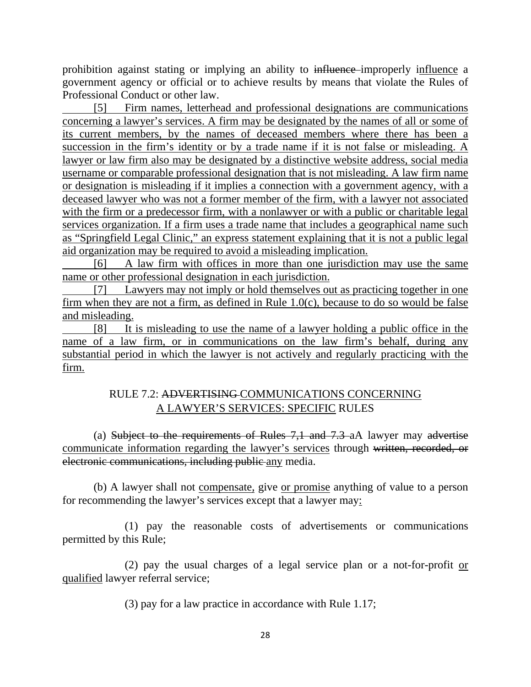prohibition against stating or implying an ability to influence improperly influence a government agency or official or to achieve results by means that violate the Rules of Professional Conduct or other law.

 [5] Firm names, letterhead and professional designations are communications concerning a lawyer's services. A firm may be designated by the names of all or some of its current members, by the names of deceased members where there has been a succession in the firm's identity or by a trade name if it is not false or misleading. A lawyer or law firm also may be designated by a distinctive website address, social media username or comparable professional designation that is not misleading. A law firm name or designation is misleading if it implies a connection with a government agency, with a deceased lawyer who was not a former member of the firm, with a lawyer not associated with the firm or a predecessor firm, with a nonlawyer or with a public or charitable legal services organization. If a firm uses a trade name that includes a geographical name such as "Springfield Legal Clinic," an express statement explaining that it is not a public legal aid organization may be required to avoid a misleading implication.

 [6] A law firm with offices in more than one jurisdiction may use the same name or other professional designation in each jurisdiction.

 [7] Lawyers may not imply or hold themselves out as practicing together in one firm when they are not a firm, as defined in Rule 1.0(c), because to do so would be false and misleading.

 [8] It is misleading to use the name of a lawyer holding a public office in the name of a law firm, or in communications on the law firm's behalf, during any substantial period in which the lawyer is not actively and regularly practicing with the firm.

## RULE 7.2: ADVERTISING COMMUNICATIONS CONCERNING A LAWYER'S SERVICES: SPECIFIC RULES

(a) Subject to the requirements of Rules 7,1 and  $7.3$  aA lawyer may advertise communicate information regarding the lawyer's services through written, recorded, or electronic communications, including public any media.

 (b) A lawyer shall not compensate, give or promise anything of value to a person for recommending the lawyer's services except that a lawyer may:

 (1) pay the reasonable costs of advertisements or communications permitted by this Rule;

 (2) pay the usual charges of a legal service plan or a not-for-profit or qualified lawyer referral service;

(3) pay for a law practice in accordance with Rule 1.17;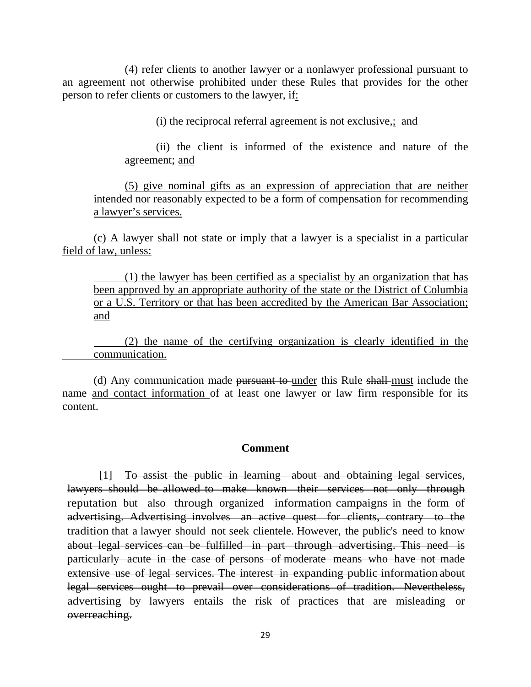(4) refer clients to another lawyer or a nonlawyer professional pursuant to an agreement not otherwise prohibited under these Rules that provides for the other person to refer clients or customers to the lawyer, if:

(i) the reciprocal referral agreement is not exclusive $\frac{1}{2}$  and

 (ii) the client is informed of the existence and nature of the agreement; and

 (5) give nominal gifts as an expression of appreciation that are neither intended nor reasonably expected to be a form of compensation for recommending a lawyer's services.

 (c) A lawyer shall not state or imply that a lawyer is a specialist in a particular field of law, unless:

 (1) the lawyer has been certified as a specialist by an organization that has been approved by an appropriate authority of the state or the District of Columbia or a U.S. Territory or that has been accredited by the American Bar Association; and

(2) the name of the certifying organization is clearly identified in the communication.

(d) Any communication made pursuant to under this Rule shall must include the name and contact information of at least one lawyer or law firm responsible for its content.

#### **Comment**

[1] To assist the public in learning about and obtaining legal services, lawyers should be allowed to make known their services not only through reputation but also through organized information campaigns in the form of advertising. Advertising involves an active quest for clients, contrary to the tradition that a lawyer should not seek clientele. However, the public's need to know about legal services can be fulfilled in part through advertising. This need is particularly acute in the case of persons of moderate means who have not made extensive use of legal services. The interest in expanding public information about legal services ought to prevail over considerations of tradition. Nevertheless, advertising by lawyers entails the risk of practices that are misleading or overreaching.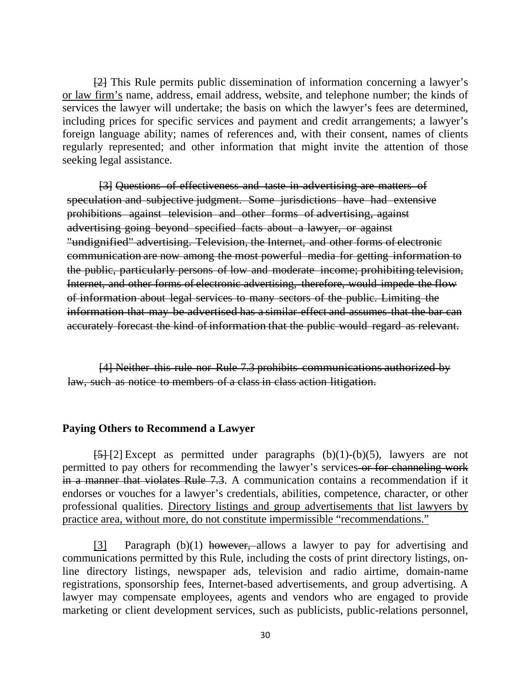[2] This Rule permits public dissemination of information concerning a lawyer's or law firm's name, address, email address, website, and telephone number; the kinds of services the lawyer will undertake; the basis on which the lawyer's fees are determined, including prices for specific services and payment and credit arrangements; a lawyer's foreign language ability; names of references and, with their consent, names of clients regularly represented; and other information that might invite the attention of those seeking legal assistance.

[3] Questions of effectiveness and taste in advertising are matters of speculation and subjective judgment. Some jurisdictions have had extensive prohibitions against television and other forms of advertising, against advertising going beyond specified facts about a lawyer, or against "undignified" advertising. Television, the Internet, and other forms of electronic communication are now among the most powerful media for getting information to the public, particularly persons of low and moderate income; prohibiting television, Internet, and other forms of electronic advertising, therefore, would impede the flow of information about legal services to many sectors of the public. Limiting the information that may be advertised has a similar effect and assumes that the bar can accurately forecast the kind of information that the public would regard as relevant.

[4] Neither this rule nor Rule 7.3 prohibits communications authorized by law, such as notice to members of a class in class action litigation.

#### **Paying Others to Recommend a Lawyer**

 $[5+[2]$  Except as permitted under paragraphs (b)(1)-(b)(5), lawyers are not permitted to pay others for recommending the lawyer's services or for channeling work in a manner that violates Rule 7.3. A communication contains a recommendation if it endorses or vouches for a lawyer's credentials, abilities, competence, character, or other professional qualities. Directory listings and group advertisements that list lawyers by practice area, without more, do not constitute impermissible "recommendations."

[3] Paragraph (b)(1) however, allows a lawyer to pay for advertising and communications permitted by this Rule, including the costs of print directory listings, online directory listings, newspaper ads, television and radio airtime, domain-name registrations, sponsorship fees, Internet-based advertisements, and group advertising. A lawyer may compensate employees, agents and vendors who are engaged to provide marketing or client development services, such as publicists, public-relations personnel,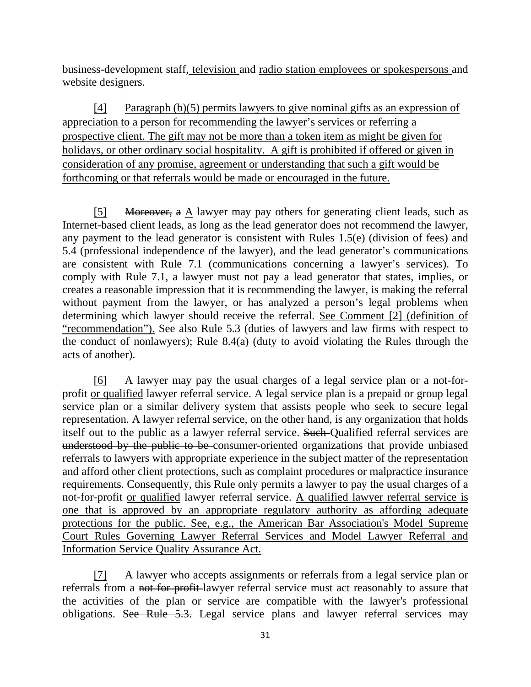business-development staff, television and radio station employees or spokespersons and website designers.

 [4] Paragraph (b)(5) permits lawyers to give nominal gifts as an expression of appreciation to a person for recommending the lawyer's services or referring a prospective client. The gift may not be more than a token item as might be given for holidays, or other ordinary social hospitality. A gift is prohibited if offered or given in consideration of any promise, agreement or understanding that such a gift would be forthcoming or that referrals would be made or encouraged in the future.

 [5] Moreover, a A lawyer may pay others for generating client leads, such as Internet-based client leads, as long as the lead generator does not recommend the lawyer, any payment to the lead generator is consistent with Rules 1.5(e) (division of fees) and 5.4 (professional independence of the lawyer), and the lead generator's communications are consistent with Rule 7.1 (communications concerning a lawyer's services). To comply with Rule 7.1, a lawyer must not pay a lead generator that states, implies, or creates a reasonable impression that it is recommending the lawyer, is making the referral without payment from the lawyer, or has analyzed a person's legal problems when determining which lawyer should receive the referral. See Comment [2] (definition of "recommendation"). See also Rule 5.3 (duties of lawyers and law firms with respect to the conduct of nonlawyers); Rule 8.4(a) (duty to avoid violating the Rules through the acts of another).

 [6] A lawyer may pay the usual charges of a legal service plan or a not-forprofit or qualified lawyer referral service. A legal service plan is a prepaid or group legal service plan or a similar delivery system that assists people who seek to secure legal representation. A lawyer referral service, on the other hand, is any organization that holds itself out to the public as a lawyer referral service. Such Qualified referral services are understood by the public to be consumer-oriented organizations that provide unbiased referrals to lawyers with appropriate experience in the subject matter of the representation and afford other client protections, such as complaint procedures or malpractice insurance requirements. Consequently, this Rule only permits a lawyer to pay the usual charges of a not-for-profit or qualified lawyer referral service. A qualified lawyer referral service is one that is approved by an appropriate regulatory authority as affording adequate protections for the public. See, e.g., the American Bar Association's Model Supreme Court Rules Governing Lawyer Referral Services and Model Lawyer Referral and Information Service Quality Assurance Act.

 [7] A lawyer who accepts assignments or referrals from a legal service plan or referrals from a not for profit-lawyer referral service must act reasonably to assure that the activities of the plan or service are compatible with the lawyer's professional obligations. See Rule 5.3. Legal service plans and lawyer referral services may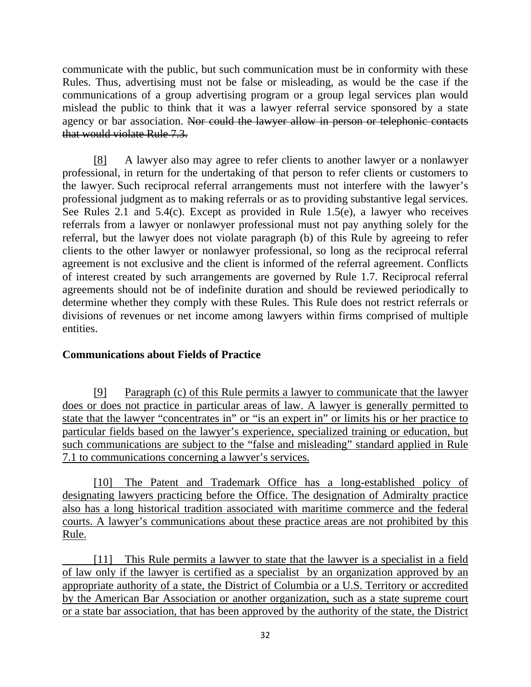communicate with the public, but such communication must be in conformity with these Rules. Thus, advertising must not be false or misleading, as would be the case if the communications of a group advertising program or a group legal services plan would mislead the public to think that it was a lawyer referral service sponsored by a state agency or bar association. Nor could the lawyer allow in person or telephonic contacts that would violate Rule 7.3.

 [8] A lawyer also may agree to refer clients to another lawyer or a nonlawyer professional, in return for the undertaking of that person to refer clients or customers to the lawyer. Such reciprocal referral arrangements must not interfere with the lawyer's professional judgment as to making referrals or as to providing substantive legal services. See Rules 2.1 and 5.4(c). Except as provided in Rule 1.5(e), a lawyer who receives referrals from a lawyer or nonlawyer professional must not pay anything solely for the referral, but the lawyer does not violate paragraph (b) of this Rule by agreeing to refer clients to the other lawyer or nonlawyer professional, so long as the reciprocal referral agreement is not exclusive and the client is informed of the referral agreement. Conflicts of interest created by such arrangements are governed by Rule 1.7. Reciprocal referral agreements should not be of indefinite duration and should be reviewed periodically to determine whether they comply with these Rules. This Rule does not restrict referrals or divisions of revenues or net income among lawyers within firms comprised of multiple entities.

### **Communications about Fields of Practice**

 [9] Paragraph (c) of this Rule permits a lawyer to communicate that the lawyer does or does not practice in particular areas of law. A lawyer is generally permitted to state that the lawyer "concentrates in" or "is an expert in" or limits his or her practice to particular fields based on the lawyer's experience, specialized training or education, but such communications are subject to the "false and misleading" standard applied in Rule 7.1 to communications concerning a lawyer's services.

 [10] The Patent and Trademark Office has a long-established policy of designating lawyers practicing before the Office. The designation of Admiralty practice also has a long historical tradition associated with maritime commerce and the federal courts. A lawyer's communications about these practice areas are not prohibited by this Rule.

 [11] This Rule permits a lawyer to state that the lawyer is a specialist in a field of law only if the lawyer is certified as a specialist by an organization approved by an appropriate authority of a state, the District of Columbia or a U.S. Territory or accredited by the American Bar Association or another organization, such as a state supreme court or a state bar association, that has been approved by the authority of the state, the District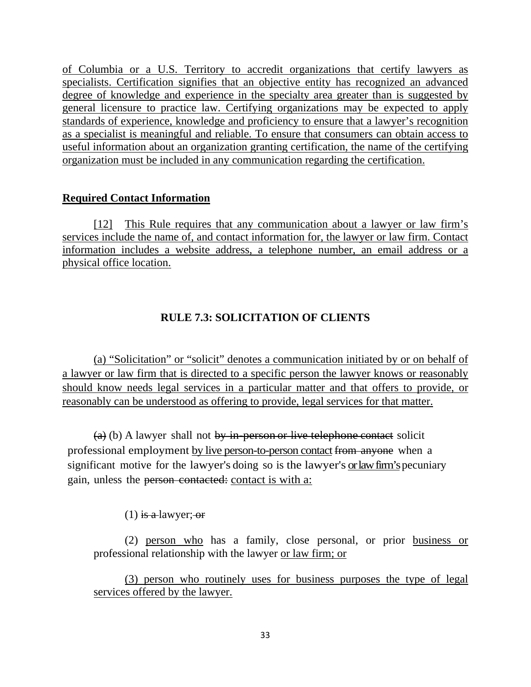of Columbia or a U.S. Territory to accredit organizations that certify lawyers as specialists. Certification signifies that an objective entity has recognized an advanced degree of knowledge and experience in the specialty area greater than is suggested by general licensure to practice law. Certifying organizations may be expected to apply standards of experience, knowledge and proficiency to ensure that a lawyer's recognition as a specialist is meaningful and reliable. To ensure that consumers can obtain access to useful information about an organization granting certification, the name of the certifying organization must be included in any communication regarding the certification.

## **Required Contact Information**

 [12] This Rule requires that any communication about a lawyer or law firm's services include the name of, and contact information for, the lawyer or law firm. Contact information includes a website address, a telephone number, an email address or a physical office location.

## **RULE 7.3: SOLICITATION OF CLIENTS**

(a) "Solicitation" or "solicit" denotes a communication initiated by or on behalf of a lawyer or law firm that is directed to a specific person the lawyer knows or reasonably should know needs legal services in a particular matter and that offers to provide, or reasonably can be understood as offering to provide, legal services for that matter.

 $(a)$  (b) A lawyer shall not by in-person or live telephone contact solicit professional employment by live person-to-person contact from anyone when a significant motive for the lawyer's doing so is the lawyer's or law firm's pecuniary gain, unless the person contacted: contact is with a:

(1) is a lawyer; or

 (2) person who has a family, close personal, or prior business or professional relationship with the lawyer or law firm; or

 (3) person who routinely uses for business purposes the type of legal services offered by the lawyer.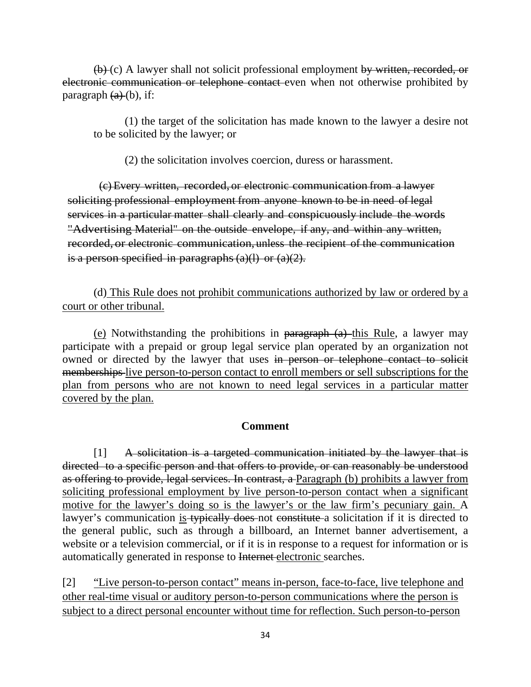(b) (c) A lawyer shall not solicit professional employment by written, recorded, or electronic communication or telephone contact even when not otherwise prohibited by paragraph  $(a)$  (b), if:

 (1) the target of the solicitation has made known to the lawyer a desire not to be solicited by the lawyer; or

(2) the solicitation involves coercion, duress or harassment.

(c) Every written, recorded, or electronic communication from a lawyer soliciting professional employment from anyone known to be in need of legal services in a particular matter shall clearly and conspicuously include the words "Advertising Material" on the outside envelope, if any, and within any written, recorded, or electronic communication, unless the recipient of the communication is a person specified in paragraphs  $(a)(1)$  or  $(a)(2)$ .

(d) This Rule does not prohibit communications authorized by law or ordered by a court or other tribunal.

(e) Notwithstanding the prohibitions in paragraph  $(a)$ -this Rule, a lawyer may participate with a prepaid or group legal service plan operated by an organization not owned or directed by the lawyer that uses in person or telephone contact to solicit memberships live person-to-person contact to enroll members or sell subscriptions for the plan from persons who are not known to need legal services in a particular matter covered by the plan.

### **Comment**

 [1] A solicitation is a targeted communication initiated by the lawyer that is directed to a specific person and that offers to provide, or can reasonably be understood as offering to provide, legal services. In contrast, a Paragraph (b) prohibits a lawyer from soliciting professional employment by live person-to-person contact when a significant motive for the lawyer's doing so is the lawyer's or the law firm's pecuniary gain. A lawyer's communication is typically does not constitute a solicitation if it is directed to the general public, such as through a billboard, an Internet banner advertisement, a website or a television commercial, or if it is in response to a request for information or is automatically generated in response to Internet electronic searches.

[2] "Live person-to-person contact" means in-person, face-to-face, live telephone and other real-time visual or auditory person-to-person communications where the person is subject to a direct personal encounter without time for reflection. Such person-to-person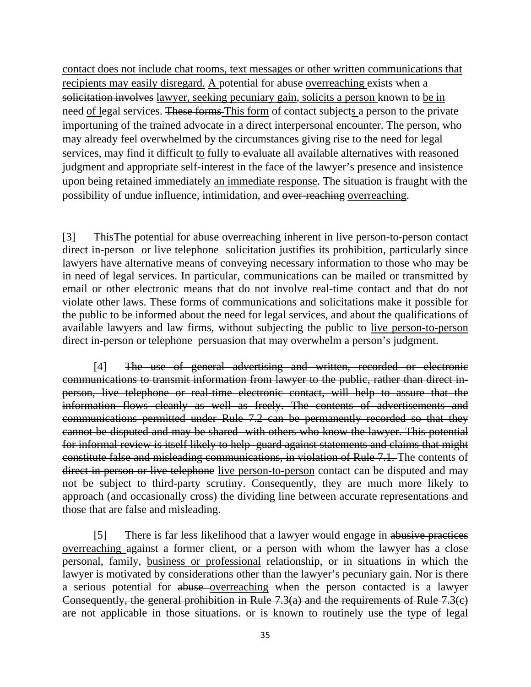contact does not include chat rooms, text messages or other written communications that recipients may easily disregard. A potential for abuse overreaching exists when a solicitation involves lawyer, seeking pecuniary gain, solicits a person known to be in need of legal services. These forms This form of contact subjects a person to the private importuning of the trained advocate in a direct interpersonal encounter. The person, who may already feel overwhelmed by the circumstances giving rise to the need for legal services, may find it difficult to fully to evaluate all available alternatives with reasoned judgment and appropriate self-interest in the face of the lawyer's presence and insistence upon being retained immediately an immediate response. The situation is fraught with the possibility of undue influence, intimidation, and over-reaching overreaching.

[3] ThisThe potential for abuse overreaching inherent in live person-to-person contact direct in-person or live telephone solicitation justifies its prohibition, particularly since lawyers have alternative means of conveying necessary information to those who may be in need of legal services. In particular, communications can be mailed or transmitted by email or other electronic means that do not involve real-time contact and that do not violate other laws. These forms of communications and solicitations make it possible for the public to be informed about the need for legal services, and about the qualifications of available lawyers and law firms, without subjecting the public to live person-to-person direct in-person or telephone persuasion that may overwhelm a person's judgment.

 [4] The use of general advertising and written, recorded or electronic communications to transmit information from lawyer to the public, rather than direct inperson, live telephone or real-time electronic contact, will help to assure that the information flows cleanly as well as freely. The contents of advertisements and communications permitted under Rule 7.2 can be permanently recorded so that they cannot be disputed and may be shared with others who know the lawyer. This potential for informal review is itself likely to help guard against statements and claims that might constitute false and misleading communications, in violation of Rule 7.1. The contents of direct in person or live telephone live person-to-person contact can be disputed and may not be subject to third-party scrutiny. Consequently, they are much more likely to approach (and occasionally cross) the dividing line between accurate representations and those that are false and misleading.

[5] There is far less likelihood that a lawyer would engage in abusive practices overreaching against a former client, or a person with whom the lawyer has a close personal, family, business or professional relationship, or in situations in which the lawyer is motivated by considerations other than the lawyer's pecuniary gain. Nor is there a serious potential for abuse overreaching when the person contacted is a lawyer Consequently, the general prohibition in Rule  $7.3(a)$  and the requirements of Rule  $7.3(e)$ are not applicable in those situations. or is known to routinely use the type of legal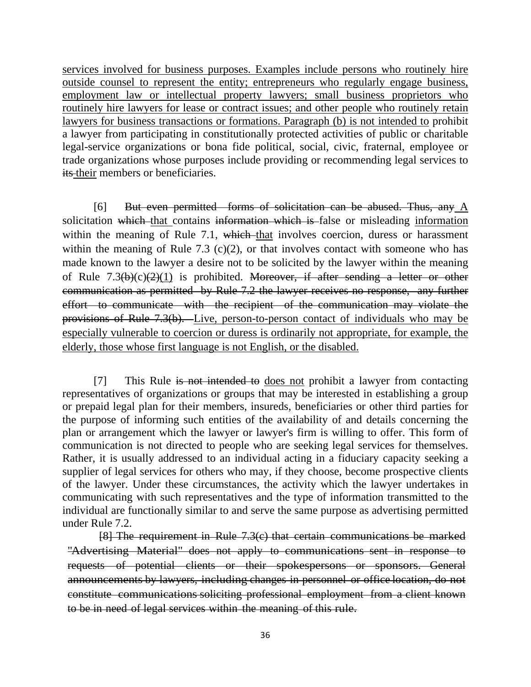services involved for business purposes. Examples include persons who routinely hire outside counsel to represent the entity; entrepreneurs who regularly engage business, employment law or intellectual property lawyers; small business proprietors who routinely hire lawyers for lease or contract issues; and other people who routinely retain lawyers for business transactions or formations. Paragraph (b) is not intended to prohibit a lawyer from participating in constitutionally protected activities of public or charitable legal-service organizations or bona fide political, social, civic, fraternal, employee or trade organizations whose purposes include providing or recommending legal services to its their members or beneficiaries.

 [6] But even permitted forms of solicitation can be abused. Thus, any A solicitation which that contains information which is false or misleading information within the meaning of Rule 7.1, which that involves coercion, duress or harassment within the meaning of Rule 7.3 (c)(2), or that involves contact with someone who has made known to the lawyer a desire not to be solicited by the lawyer within the meaning of Rule  $7.3(b)(c)(2)(1)$  is prohibited. Moreover, if after sending a letter or other communication as permitted by Rule 7.2 the lawyer receives no response, any further effort to communicate with the recipient of the communication may violate the provisions of Rule 7.3(b). Live, person-to-person contact of individuals who may be especially vulnerable to coercion or duress is ordinarily not appropriate, for example, the elderly, those whose first language is not English, or the disabled.

[7] This Rule is not intended to does not prohibit a lawyer from contacting representatives of organizations or groups that may be interested in establishing a group or prepaid legal plan for their members, insureds, beneficiaries or other third parties for the purpose of informing such entities of the availability of and details concerning the plan or arrangement which the lawyer or lawyer's firm is willing to offer. This form of communication is not directed to people who are seeking legal services for themselves. Rather, it is usually addressed to an individual acting in a fiduciary capacity seeking a supplier of legal services for others who may, if they choose, become prospective clients of the lawyer. Under these circumstances, the activity which the lawyer undertakes in communicating with such representatives and the type of information transmitted to the individual are functionally similar to and serve the same purpose as advertising permitted under Rule 7.2.

[8] The requirement in Rule 7.3(c) that certain communications be marked "Advertising Material" does not apply to communications sent in response to requests of potential clients or their spokespersons or sponsors. General announcements by lawyers, including changes in personnel or office location, do not constitute communications soliciting professional employment from a client known to be in need of legal services within the meaning of this rule.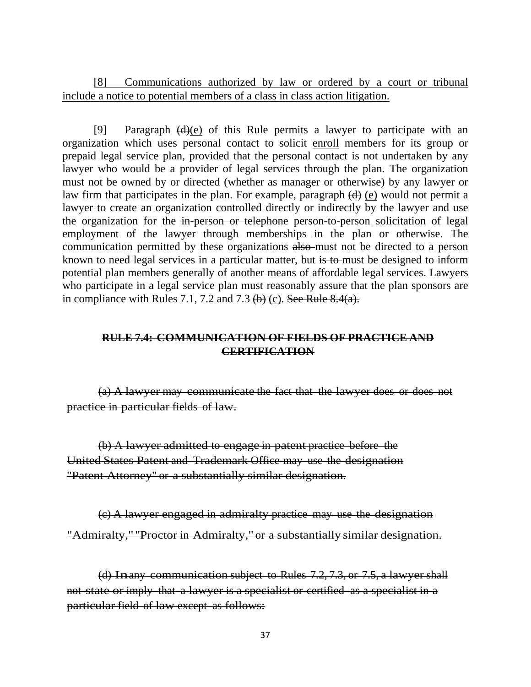[8] Communications authorized by law or ordered by a court or tribunal include a notice to potential members of a class in class action litigation.

[9] Paragraph  $(d)(e)$  of this Rule permits a lawyer to participate with an organization which uses personal contact to solicit enroll members for its group or prepaid legal service plan, provided that the personal contact is not undertaken by any lawyer who would be a provider of legal services through the plan. The organization must not be owned by or directed (whether as manager or otherwise) by any lawyer or law firm that participates in the plan. For example, paragraph  $(d)$  (e) would not permit a lawyer to create an organization controlled directly or indirectly by the lawyer and use the organization for the in-person or telephone person-to-person solicitation of legal employment of the lawyer through memberships in the plan or otherwise. The communication permitted by these organizations also must not be directed to a person known to need legal services in a particular matter, but is to must be designed to inform potential plan members generally of another means of affordable legal services. Lawyers who participate in a legal service plan must reasonably assure that the plan sponsors are in compliance with Rules 7.1, 7.2 and 7.3  $(b)$  (c). See Rule 8.4(a).

## **RULE 7.4: COMMUNICATION OF FIELDS OF PRACTICE AND CERTIFICATION**

(a) A lawyer may communicate the fact that the lawyer does or does not practice in particular fields of law.

(b) A lawyer admitted to engage in patent practice before the United States Patent and Trademark Office may use the designation "Patent Attorney" or a substantially similar designation.

(c) A lawyer engaged in admiralty practice may use the designation "Admiralty," "Proctor in Admiralty," or a substantially similar designation.

(d) In any communication subject to Rules 7.2, 7.3, or 7.5, a lawyer shall not state or imply that a lawyer is a specialist or certified as a specialist in a particular field of law except as follows: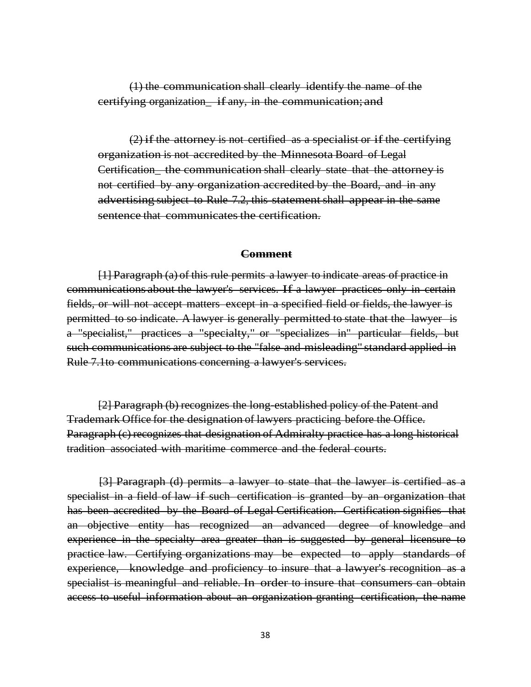(1) the communication shall clearly identify the name of the certifying organization\_ if any, in the communication; and

 $(2)$  if the attorney is not certified as a specialist or if the certifying organization is not accredited by the Minnesota Board of Legal Certification\_ the communication shall clearly state that the attorney is not certified by any organization accredited by the Board, and in any advertising subject to Rule 7.2, this statement shall appear in the same sentence that communicates the certification.

#### **Comment**

[1] Paragraph (a) of this rule permits a lawyer to indicate areas of practice in communications about the lawyer's services. If a lawyer practices only in certain fields, or will not accept matters except in a specified field or fields, the lawyer is permitted to so indicate. A lawyer is generally permitted to state that the lawyer is a "specialist," practices a "specialty," or "specializes in" particular fields, but such communications are subject to the "false and misleading" standard applied in Rule 7.1to communications concerning a lawyer's services.

[2] Paragraph (b) recognizes the long-established policy of the Patent and Trademark Office for the designation of lawyers practicing before the Office. Paragraph (c) recognizes that designation of Admiralty practice has a long historical tradition associated with maritime commerce and the federal courts.

[3] Paragraph (d) permits a lawyer to state that the lawyer is certified as a specialist in a field of law if such certification is granted by an organization that has been accredited by the Board of Legal Certification. Certification signifies that an objective entity has recognized an advanced degree of knowledge and experience in the specialty area greater than is suggested by general licensure to practice law. Certifying organizations may be expected to apply standards of experience, knowledge and proficiency to insure that a lawyer's recognition as a specialist is meaningful and reliable. In order to insure that consumers can obtain access to useful information about an organization granting certification, the name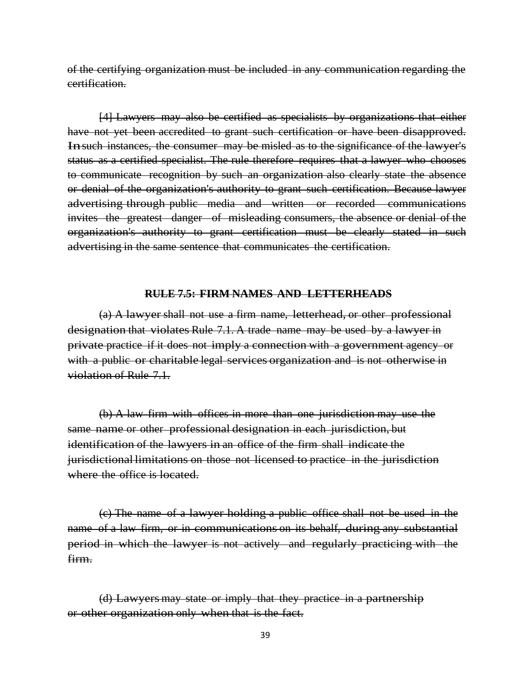of the certifying organization must be included in any communication regarding the certification.

[4] Lawyers may also be certified as specialists by organizations that either have not yet been accredited to grant such certification or have been disapproved. In such instances, the consumer may be misled as to the significance of the lawyer's status as a certified specialist. The rule therefore requires that a lawyer who chooses to communicate recognition by such an organization also clearly state the absence or denial of the organization's authority to grant such certification. Because lawyer advertising through public media and written or recorded communications invites the greatest danger of misleading consumers, the absence or denial of the organization's authority to grant certification must be clearly stated in such advertising in the same sentence that communicates the certification.

#### **RULE 7.5: FIRM NAMES AND LETTERHEADS**

(a) A lawyer shall not use a firm name, letterhead, or other professional designation that violates Rule 7.1. A trade name may be used by a lawyer in private practice if it does not imply a connection with a government agency or with a public or charitable legal services organization and is not otherwise in violation of Rule 7.1.

(b) A law firm with offices in more than one jurisdiction may use the same name or other professional designation in each jurisdiction, but identification of the lawyers in an office of the firm shall indicate the jurisdictional limitations on those not licensed to practice in the jurisdiction where the office is located.

(c) The name of a lawyer holding a public office shall not be used in the name of a law firm, or in communications on its behalf, during any substantial period in which the lawyer is not actively and regularly practicing with the firm.

(d) Lawyers may state or imply that they practice in a partnership or other organization only when that is the fact.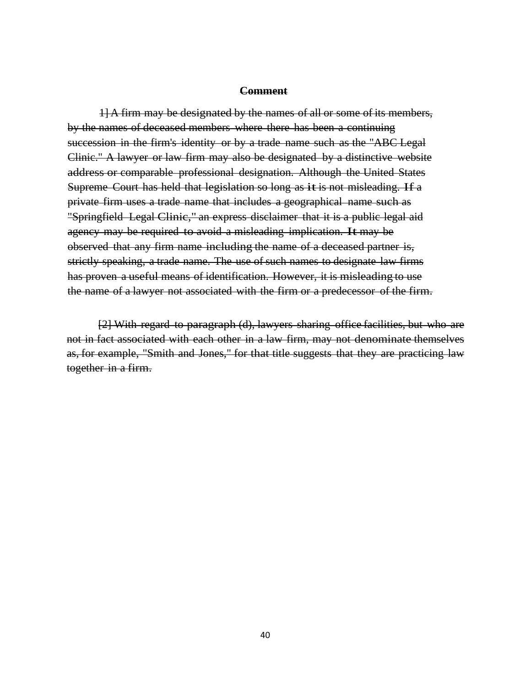#### **Comment**

1] A firm may be designated by the names of all or some of its members, by the names of deceased members where there has been a continuing succession in the firm's identity or by a trade name such as the "ABC Legal Clinic." A lawyer or law firm may also be designated by a distinctive website address or comparable professional designation. Although the United States Supreme Court has held that legislation so long as it is not misleading. If a private firm uses a trade name that includes a geographical name such as "Springfield Legal Clinic," an express disclaimer that it is a public legal aid agency may be required to avoid a misleading implication. It may be observed that any firm name including the name of a deceased partner is, strictly speaking, a trade name. The use of such names to designate law firms has proven a useful means of identification. However, it is misleading to use the name of a lawyer not associated with the firm or a predecessor of the firm.

[2] With regard to paragraph (d), lawyers sharing office facilities, but who are not in fact associated with each other in a law firm, may not denominate themselves as, for example, "Smith and Jones," for that title suggests that they are practicing law together in a firm.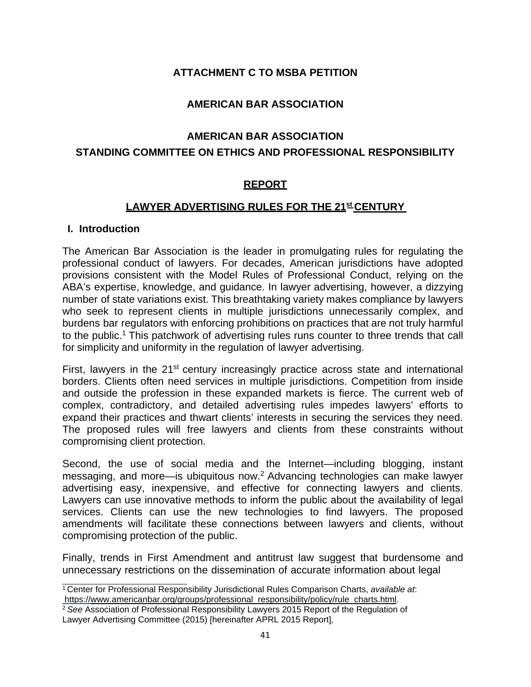### **ATTACHMENT C TO MSBA PETITION**

### **AMERICAN BAR ASSOCIATION**

# **AMERICAN BAR ASSOCIATION STANDING COMMITTEE ON ETHICS AND PROFESSIONAL RESPONSIBILITY**

#### **REPORT**

### **LAWYER ADVERTISING RULES FOR THE 21st CENTURY**

#### **I. Introduction**

The American Bar Association is the leader in promulgating rules for regulating the professional conduct of lawyers. For decades, American jurisdictions have adopted provisions consistent with the Model Rules of Professional Conduct, relying on the ABA's expertise, knowledge, and guidance. In lawyer advertising, however, a dizzying number of state variations exist. This breathtaking variety makes compliance by lawyers who seek to represent clients in multiple jurisdictions unnecessarily complex, and burdens bar regulators with enforcing prohibitions on practices that are not truly harmful to the public.<sup>1</sup> This patchwork of advertising rules runs counter to three trends that call for simplicity and uniformity in the regulation of lawyer advertising.

First, lawyers in the  $21<sup>st</sup>$  century increasingly practice across state and international borders. Clients often need services in multiple jurisdictions. Competition from inside and outside the profession in these expanded markets is fierce. The current web of complex, contradictory, and detailed advertising rules impedes lawyers' efforts to expand their practices and thwart clients' interests in securing the services they need. The proposed rules will free lawyers and clients from these constraints without compromising client protection.

Second, the use of social media and the Internet—including blogging, instant messaging, and more—is ubiquitous now.2 Advancing technologies can make lawyer advertising easy, inexpensive, and effective for connecting lawyers and clients. Lawyers can use innovative methods to inform the public about the availability of legal services. Clients can use the new technologies to find lawyers. The proposed amendments will facilitate these connections between lawyers and clients, without compromising protection of the public.

Finally, trends in First Amendment and antitrust law suggest that burdensome and unnecessary restrictions on the dissemination of accurate information about legal

<sup>1</sup> Center for Professional Responsibility Jurisdictional Rules Comparison Charts, *available at*: https://www.americanbar.org/groups/professional\_responsibility/policy/rule\_charts.html.

<sup>2</sup>*See* Association of Professional Responsibility Lawyers 2015 Report of the Regulation of Lawyer Advertising Committee (2015) [hereinafter APRL 2015 Report]*,*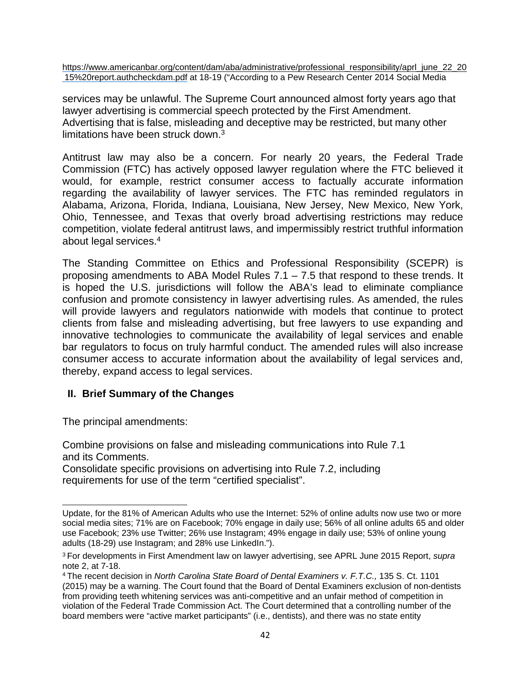https://www.americanbar.org/content/dam/aba/administrative/professional\_responsibility/aprl\_june\_22\_20 15%20report.authcheckdam.pdf at 18-19 ("According to a Pew Research Center 2014 Social Media

services may be unlawful. The Supreme Court announced almost forty years ago that lawyer advertising is commercial speech protected by the First Amendment. Advertising that is false, misleading and deceptive may be restricted, but many other limitations have been struck down.<sup>3</sup>

Antitrust law may also be a concern. For nearly 20 years, the Federal Trade Commission (FTC) has actively opposed lawyer regulation where the FTC believed it would, for example, restrict consumer access to factually accurate information regarding the availability of lawyer services. The FTC has reminded regulators in Alabama, Arizona, Florida, Indiana, Louisiana, New Jersey, New Mexico, New York, Ohio, Tennessee, and Texas that overly broad advertising restrictions may reduce competition, violate federal antitrust laws, and impermissibly restrict truthful information about legal services.4

The Standing Committee on Ethics and Professional Responsibility (SCEPR) is proposing amendments to ABA Model Rules 7.1 – 7.5 that respond to these trends. It is hoped the U.S. jurisdictions will follow the ABA's lead to eliminate compliance confusion and promote consistency in lawyer advertising rules. As amended, the rules will provide lawyers and regulators nationwide with models that continue to protect clients from false and misleading advertising, but free lawyers to use expanding and innovative technologies to communicate the availability of legal services and enable bar regulators to focus on truly harmful conduct. The amended rules will also increase consumer access to accurate information about the availability of legal services and, thereby, expand access to legal services.

### **II. Brief Summary of the Changes**

The principal amendments:

Combine provisions on false and misleading communications into Rule 7.1 and its Comments.

Consolidate specific provisions on advertising into Rule 7.2, including requirements for use of the term "certified specialist".

Update, for the 81% of American Adults who use the Internet: 52% of online adults now use two or more social media sites; 71% are on Facebook; 70% engage in daily use; 56% of all online adults 65 and older use Facebook; 23% use Twitter; 26% use Instagram; 49% engage in daily use; 53% of online young adults (18-29) use Instagram; and 28% use LinkedIn.").

<sup>3</sup> For developments in First Amendment law on lawyer advertising, see APRL June 2015 Report, *supra*  note 2, at 7-18.

<sup>4</sup> The recent decision in *North Carolina State Board of Dental Examiners v. F.T.C.,* 135 S. Ct. 1101 (2015) may be a warning. The Court found that the Board of Dental Examiners exclusion of non-dentists from providing teeth whitening services was anti-competitive and an unfair method of competition in violation of the Federal Trade Commission Act. The Court determined that a controlling number of the board members were "active market participants" (i.e., dentists), and there was no state entity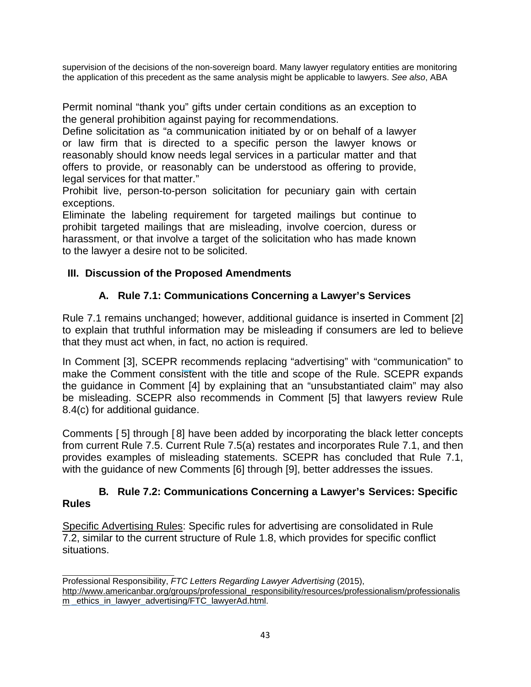supervision of the decisions of the non-sovereign board. Many lawyer regulatory entities are monitoring the application of this precedent as the same analysis might be applicable to lawyers. *See also*, ABA

Permit nominal "thank you" gifts under certain conditions as an exception to the general prohibition against paying for recommendations.

Define solicitation as "a communication initiated by or on behalf of a lawyer or law firm that is directed to a specific person the lawyer knows or reasonably should know needs legal services in a particular matter and that offers to provide, or reasonably can be understood as offering to provide, legal services for that matter."

Prohibit live, person-to-person solicitation for pecuniary gain with certain exceptions.

Eliminate the labeling requirement for targeted mailings but continue to prohibit targeted mailings that are misleading, involve coercion, duress or harassment, or that involve a target of the solicitation who has made known to the lawyer a desire not to be solicited.

## **III. Discussion of the Proposed Amendments**

\_\_\_\_\_\_\_\_\_\_\_\_\_\_\_\_\_\_\_\_\_\_\_\_\_\_\_\_\_

# **A. Rule 7.1: Communications Concerning a Lawyer's Services**

Rule 7.1 remains unchanged; however, additional guidance is inserted in Comment [2] to explain that truthful information may be misleading if consumers are led to believe that they must act when, in fact, no action is required.

In Comment [3], SCEPR recommends replacing "advertising" with "communication" to make the Comment consistent with the title and scope of the Rule. SCEPR expands the guidance in Comment [4] by explaining that an "unsubstantiated claim" may also be misleading. SCEPR also recommends in Comment [5] that lawyers review Rule 8.4(c) for additional guidance.

Comments [ 5] through [ 8] have been added by incorporating the black letter concepts from current Rule 7.5. Current Rule 7.5(a) restates and incorporates Rule 7.1, and then provides examples of misleading statements. SCEPR has concluded that Rule 7.1, with the guidance of new Comments [6] through [9], better addresses the issues.

### **B. Rule 7.2: Communications Concerning a Lawyer's Services: Specific Rules**

Specific Advertising Rules: Specific rules for advertising are consolidated in Rule 7.2, similar to the current structure of Rule 1.8, which provides for specific conflict situations.

Professional Responsibility, *FTC Letters Regarding Lawyer Advertising* (2015), http://www.americanbar.org/groups/professional\_responsibility/resources/professionalism/professionalis m \_ethics\_in\_lawyer\_advertising/FTC\_lawyerAd.html.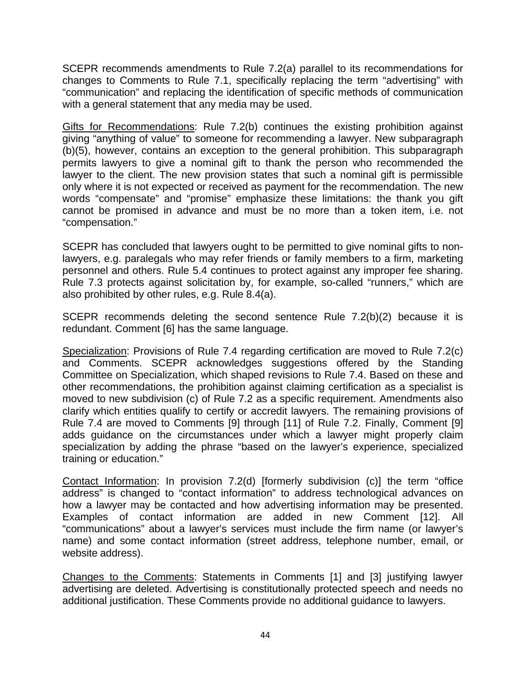SCEPR recommends amendments to Rule 7.2(a) parallel to its recommendations for changes to Comments to Rule 7.1, specifically replacing the term "advertising" with "communication" and replacing the identification of specific methods of communication with a general statement that any media may be used.

Gifts for Recommendations: Rule 7.2(b) continues the existing prohibition against giving "anything of value" to someone for recommending a lawyer. New subparagraph (b)(5), however, contains an exception to the general prohibition. This subparagraph permits lawyers to give a nominal gift to thank the person who recommended the lawyer to the client. The new provision states that such a nominal gift is permissible only where it is not expected or received as payment for the recommendation. The new words "compensate" and "promise" emphasize these limitations: the thank you gift cannot be promised in advance and must be no more than a token item, i.e. not "compensation."

SCEPR has concluded that lawyers ought to be permitted to give nominal gifts to nonlawyers, e.g. paralegals who may refer friends or family members to a firm, marketing personnel and others. Rule 5.4 continues to protect against any improper fee sharing. Rule 7.3 protects against solicitation by, for example, so-called "runners," which are also prohibited by other rules, e.g. Rule 8.4(a).

SCEPR recommends deleting the second sentence Rule 7.2(b)(2) because it is redundant. Comment [6] has the same language.

Specialization: Provisions of Rule 7.4 regarding certification are moved to Rule 7.2(c) and Comments. SCEPR acknowledges suggestions offered by the Standing Committee on Specialization, which shaped revisions to Rule 7.4. Based on these and other recommendations, the prohibition against claiming certification as a specialist is moved to new subdivision (c) of Rule 7.2 as a specific requirement. Amendments also clarify which entities qualify to certify or accredit lawyers. The remaining provisions of Rule 7.4 are moved to Comments [9] through [11] of Rule 7.2. Finally, Comment [9] adds guidance on the circumstances under which a lawyer might properly claim specialization by adding the phrase "based on the lawyer's experience, specialized training or education."

Contact Information: In provision 7.2(d) [formerly subdivision (c)] the term "office address" is changed to "contact information" to address technological advances on how a lawyer may be contacted and how advertising information may be presented. Examples of contact information are added in new Comment [12]. All "communications" about a lawyer's services must include the firm name (or lawyer's name) and some contact information (street address, telephone number, email, or website address).

Changes to the Comments: Statements in Comments [1] and [3] justifying lawyer advertising are deleted. Advertising is constitutionally protected speech and needs no additional justification. These Comments provide no additional guidance to lawyers.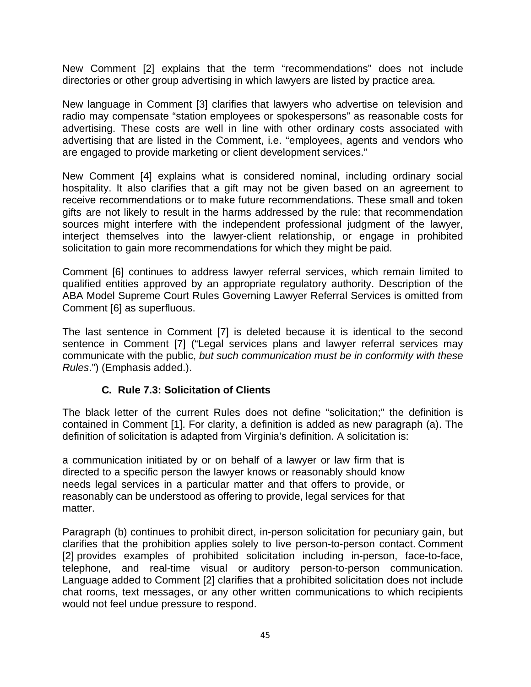New Comment [2] explains that the term "recommendations" does not include directories or other group advertising in which lawyers are listed by practice area.

New language in Comment [3] clarifies that lawyers who advertise on television and radio may compensate "station employees or spokespersons" as reasonable costs for advertising. These costs are well in line with other ordinary costs associated with advertising that are listed in the Comment, i.e. "employees, agents and vendors who are engaged to provide marketing or client development services."

New Comment [4] explains what is considered nominal, including ordinary social hospitality. It also clarifies that a gift may not be given based on an agreement to receive recommendations or to make future recommendations. These small and token gifts are not likely to result in the harms addressed by the rule: that recommendation sources might interfere with the independent professional judgment of the lawyer, interject themselves into the lawyer-client relationship, or engage in prohibited solicitation to gain more recommendations for which they might be paid.

Comment [6] continues to address lawyer referral services, which remain limited to qualified entities approved by an appropriate regulatory authority. Description of the ABA Model Supreme Court Rules Governing Lawyer Referral Services is omitted from Comment [6] as superfluous.

The last sentence in Comment [7] is deleted because it is identical to the second sentence in Comment [7] ("Legal services plans and lawyer referral services may communicate with the public, *but such communication must be in conformity with these Rules*.") (Emphasis added.).

### **C. Rule 7.3: Solicitation of Clients**

The black letter of the current Rules does not define "solicitation;" the definition is contained in Comment [1]. For clarity, a definition is added as new paragraph (a). The definition of solicitation is adapted from Virginia's definition. A solicitation is:

a communication initiated by or on behalf of a lawyer or law firm that is directed to a specific person the lawyer knows or reasonably should know needs legal services in a particular matter and that offers to provide, or reasonably can be understood as offering to provide, legal services for that matter.

Paragraph (b) continues to prohibit direct, in-person solicitation for pecuniary gain, but clarifies that the prohibition applies solely to live person-to-person contact. Comment [2] provides examples of prohibited solicitation including in-person, face-to-face, telephone, and real-time visual or auditory person-to-person communication. Language added to Comment [2] clarifies that a prohibited solicitation does not include chat rooms, text messages, or any other written communications to which recipients would not feel undue pressure to respond.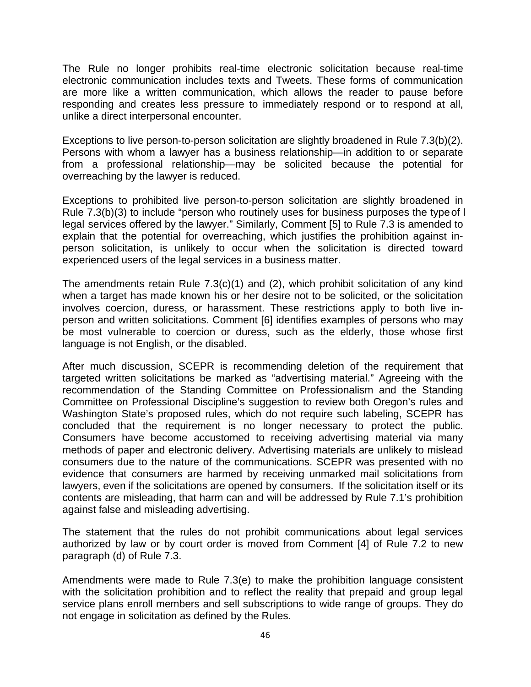The Rule no longer prohibits real-time electronic solicitation because real-time electronic communication includes texts and Tweets. These forms of communication are more like a written communication, which allows the reader to pause before responding and creates less pressure to immediately respond or to respond at all, unlike a direct interpersonal encounter.

Exceptions to live person-to-person solicitation are slightly broadened in Rule 7.3(b)(2). Persons with whom a lawyer has a business relationship—in addition to or separate from a professional relationship—may be solicited because the potential for overreaching by the lawyer is reduced.

Exceptions to prohibited live person-to-person solicitation are slightly broadened in Rule 7.3(b)(3) to include "person who routinely uses for business purposes the type of l legal services offered by the lawyer." Similarly, Comment [5] to Rule 7.3 is amended to explain that the potential for overreaching, which justifies the prohibition against inperson solicitation, is unlikely to occur when the solicitation is directed toward experienced users of the legal services in a business matter.

The amendments retain Rule 7.3(c)(1) and (2), which prohibit solicitation of any kind when a target has made known his or her desire not to be solicited, or the solicitation involves coercion, duress, or harassment. These restrictions apply to both live inperson and written solicitations. Comment [6] identifies examples of persons who may be most vulnerable to coercion or duress, such as the elderly, those whose first language is not English, or the disabled.

After much discussion, SCEPR is recommending deletion of the requirement that targeted written solicitations be marked as "advertising material." Agreeing with the recommendation of the Standing Committee on Professionalism and the Standing Committee on Professional Discipline's suggestion to review both Oregon's rules and Washington State's proposed rules, which do not require such labeling, SCEPR has concluded that the requirement is no longer necessary to protect the public. Consumers have become accustomed to receiving advertising material via many methods of paper and electronic delivery. Advertising materials are unlikely to mislead consumers due to the nature of the communications. SCEPR was presented with no evidence that consumers are harmed by receiving unmarked mail solicitations from lawyers, even if the solicitations are opened by consumers. If the solicitation itself or its contents are misleading, that harm can and will be addressed by Rule 7.1's prohibition against false and misleading advertising.

The statement that the rules do not prohibit communications about legal services authorized by law or by court order is moved from Comment [4] of Rule 7.2 to new paragraph (d) of Rule 7.3.

Amendments were made to Rule 7.3(e) to make the prohibition language consistent with the solicitation prohibition and to reflect the reality that prepaid and group legal service plans enroll members and sell subscriptions to wide range of groups. They do not engage in solicitation as defined by the Rules.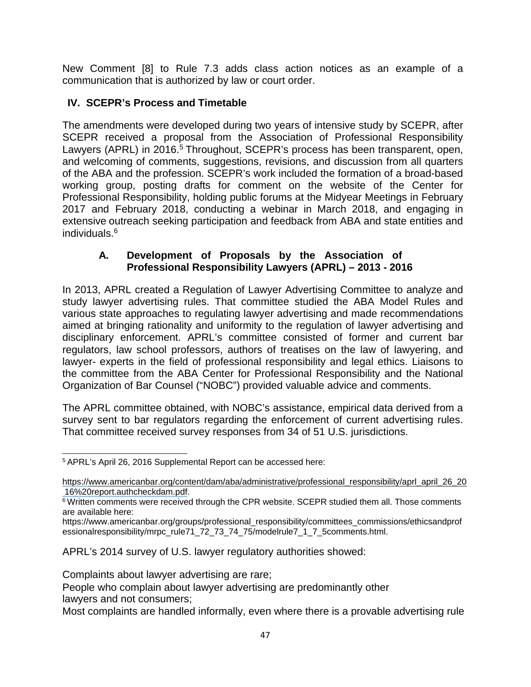New Comment [8] to Rule 7.3 adds class action notices as an example of a communication that is authorized by law or court order.

# **IV. SCEPR's Process and Timetable**

The amendments were developed during two years of intensive study by SCEPR, after SCEPR received a proposal from the Association of Professional Responsibility Lawyers (APRL) in 2016.<sup>5</sup> Throughout, SCEPR's process has been transparent, open, and welcoming of comments, suggestions, revisions, and discussion from all quarters of the ABA and the profession. SCEPR's work included the formation of a broad-based working group, posting drafts for comment on the website of the Center for Professional Responsibility, holding public forums at the Midyear Meetings in February 2017 and February 2018, conducting a webinar in March 2018, and engaging in extensive outreach seeking participation and feedback from ABA and state entities and individuals.6

## **A. Development of Proposals by the Association of Professional Responsibility Lawyers (APRL) – 2013 - 2016**

In 2013, APRL created a Regulation of Lawyer Advertising Committee to analyze and study lawyer advertising rules. That committee studied the ABA Model Rules and various state approaches to regulating lawyer advertising and made recommendations aimed at bringing rationality and uniformity to the regulation of lawyer advertising and disciplinary enforcement. APRL's committee consisted of former and current bar regulators, law school professors, authors of treatises on the law of lawyering, and lawyer- experts in the field of professional responsibility and legal ethics. Liaisons to the committee from the ABA Center for Professional Responsibility and the National Organization of Bar Counsel ("NOBC") provided valuable advice and comments.

The APRL committee obtained, with NOBC's assistance, empirical data derived from a survey sent to bar regulators regarding the enforcement of current advertising rules. That committee received survey responses from 34 of 51 U.S. jurisdictions.

APRL's 2014 survey of U.S. lawyer regulatory authorities showed:

Complaints about lawyer advertising are rare;

People who complain about lawyer advertising are predominantly other lawyers and not consumers;

Most complaints are handled informally, even where there is a provable advertising rule

<sup>5</sup> APRL's April 26, 2016 Supplemental Report can be accessed here:

https://www.americanbar.org/content/dam/aba/administrative/professional\_responsibility/aprl\_april\_26\_20 16%20report.authcheckdam.pdf.

<sup>6</sup> Written comments were received through the CPR website. SCEPR studied them all. Those comments are available here:

https://www.americanbar.org/groups/professional\_responsibility/committees\_commissions/ethicsandprof essionalresponsibility/mrpc\_rule71\_72\_73\_74\_75/modelrule7\_1\_7\_5comments.html.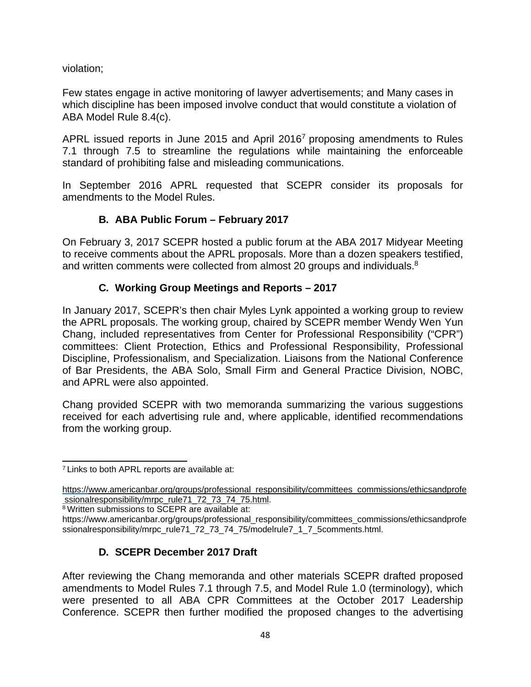violation;

Few states engage in active monitoring of lawyer advertisements; and Many cases in which discipline has been imposed involve conduct that would constitute a violation of ABA Model Rule 8.4(c).

APRL issued reports in June 2015 and April 2016<sup>7</sup> proposing amendments to Rules 7.1 through 7.5 to streamline the regulations while maintaining the enforceable standard of prohibiting false and misleading communications.

In September 2016 APRL requested that SCEPR consider its proposals for amendments to the Model Rules.

## **B. ABA Public Forum – February 2017**

On February 3, 2017 SCEPR hosted a public forum at the ABA 2017 Midyear Meeting to receive comments about the APRL proposals. More than a dozen speakers testified, and written comments were collected from almost 20 groups and individuals.<sup>8</sup>

## **C. Working Group Meetings and Reports – 2017**

In January 2017, SCEPR's then chair Myles Lynk appointed a working group to review the APRL proposals. The working group, chaired by SCEPR member Wendy Wen Yun Chang, included representatives from Center for Professional Responsibility ("CPR") committees: Client Protection, Ethics and Professional Responsibility, Professional Discipline, Professionalism, and Specialization. Liaisons from the National Conference of Bar Presidents, the ABA Solo, Small Firm and General Practice Division, NOBC, and APRL were also appointed.

Chang provided SCEPR with two memoranda summarizing the various suggestions received for each advertising rule and, where applicable, identified recommendations from the working group.

# **D. SCEPR December 2017 Draft**

After reviewing the Chang memoranda and other materials SCEPR drafted proposed amendments to Model Rules 7.1 through 7.5, and Model Rule 1.0 (terminology), which were presented to all ABA CPR Committees at the October 2017 Leadership Conference. SCEPR then further modified the proposed changes to the advertising

<sup>7</sup> Links to both APRL reports are available at:

https://www.americanbar.org/groups/professional\_responsibility/committees\_commissions/ethicsandprofe ssionalresponsibility/mrpc\_rule71\_72\_73\_74\_75.html.

<sup>8</sup> Written submissions to SCEPR are available at:

https://www.americanbar.org/groups/professional\_responsibility/committees\_commissions/ethicsandprofe ssionalresponsibility/mrpc\_rule71\_72\_73\_74\_75/modelrule7\_1\_7\_5comments.html.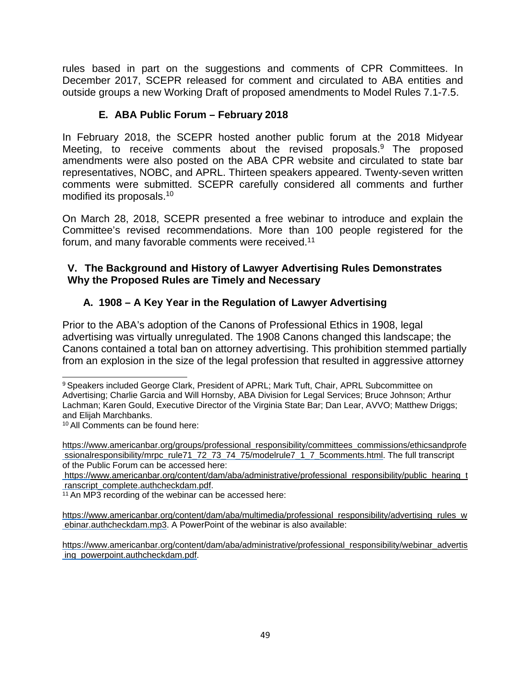rules based in part on the suggestions and comments of CPR Committees. In December 2017, SCEPR released for comment and circulated to ABA entities and outside groups a new Working Draft of proposed amendments to Model Rules 7.1-7.5.

## **E. ABA Public Forum – February 2018**

In February 2018, the SCEPR hosted another public forum at the 2018 Midyear Meeting, to receive comments about the revised proposals.<sup>9</sup> The proposed amendments were also posted on the ABA CPR website and circulated to state bar representatives, NOBC, and APRL. Thirteen speakers appeared. Twenty-seven written comments were submitted. SCEPR carefully considered all comments and further modified its proposals.10

On March 28, 2018, SCEPR presented a free webinar to introduce and explain the Committee's revised recommendations. More than 100 people registered for the forum, and many favorable comments were received.<sup>11</sup>

### **V. The Background and History of Lawyer Advertising Rules Demonstrates Why the Proposed Rules are Timely and Necessary**

# **A. 1908 – A Key Year in the Regulation of Lawyer Advertising**

Prior to the ABA's adoption of the Canons of Professional Ethics in 1908, legal advertising was virtually unregulated. The 1908 Canons changed this landscape; the Canons contained a total ban on attorney advertising. This prohibition stemmed partially from an explosion in the size of the legal profession that resulted in aggressive attorney

<sup>9</sup> Speakers included George Clark, President of APRL; Mark Tuft, Chair, APRL Subcommittee on Advertising; Charlie Garcia and Will Hornsby, ABA Division for Legal Services; Bruce Johnson; Arthur Lachman; Karen Gould, Executive Director of the Virginia State Bar; Dan Lear, AVVO; Matthew Driggs; and Elijah Marchbanks.

<sup>10</sup> All Comments can be found here:

https://www.americanbar.org/groups/professional\_responsibility/committees\_commissions/ethicsandprofe ssionalresponsibility/mrpc\_rule71\_72\_73\_74\_75/modelrule7\_1\_7\_5comments.html. The full transcript of the Public Forum can be accessed here:

https://www.americanbar.org/content/dam/aba/administrative/professional\_responsibility/public\_hearing\_t ranscript\_complete.authcheckdam.pdf.

<sup>11</sup> An MP3 recording of the webinar can be accessed here:

https://www.americanbar.org/content/dam/aba/multimedia/professional\_responsibility/advertising\_rules\_w ebinar.authcheckdam.mp3. A PowerPoint of the webinar is also available:

https://www.americanbar.org/content/dam/aba/administrative/professional\_responsibility/webinar\_advertis ing\_powerpoint.authcheckdam.pdf.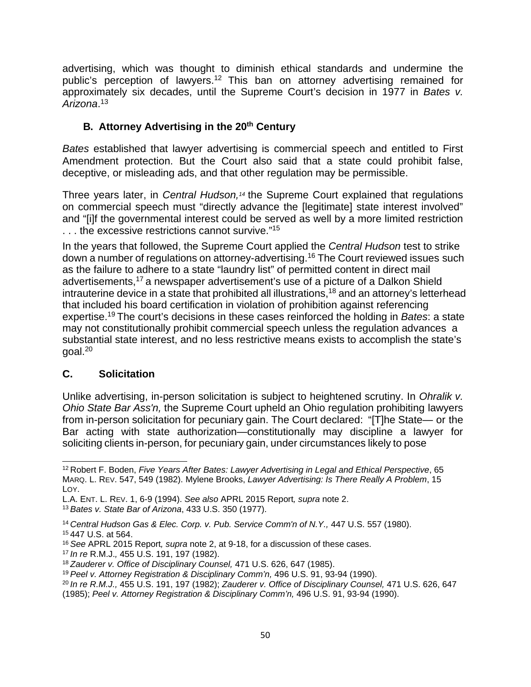advertising, which was thought to diminish ethical standards and undermine the public's perception of lawyers.12 This ban on attorney advertising remained for approximately six decades, until the Supreme Court's decision in 1977 in *Bates v. Arizona*. 13

## **B. Attorney Advertising in the 20<sup>th</sup> Century**

*Bates* established that lawyer advertising is commercial speech and entitled to First Amendment protection. But the Court also said that a state could prohibit false, deceptive, or misleading ads, and that other regulation may be permissible.

Three years later, in *Central Hudson,14* the Supreme Court explained that regulations on commercial speech must "directly advance the [legitimate] state interest involved" and "[i]f the governmental interest could be served as well by a more limited restriction . . . the excessive restrictions cannot survive."15

In the years that followed, the Supreme Court applied the *Central Hudson* test to strike down a number of regulations on attorney-advertising.16 The Court reviewed issues such as the failure to adhere to a state "laundry list" of permitted content in direct mail advertisements,17 a newspaper advertisement's use of a picture of a Dalkon Shield intrauterine device in a state that prohibited all illustrations,<sup>18</sup> and an attorney's letterhead that included his board certification in violation of prohibition against referencing expertise.19 The court's decisions in these cases reinforced the holding in *Bates*: a state may not constitutionally prohibit commercial speech unless the regulation advances a substantial state interest, and no less restrictive means exists to accomplish the state's goal.20

### **C. Solicitation**

Unlike advertising, in-person solicitation is subject to heightened scrutiny. In *Ohralik v. Ohio State Bar Ass'n,* the Supreme Court upheld an Ohio regulation prohibiting lawyers from in-person solicitation for pecuniary gain. The Court declared: "[T]he State— or the Bar acting with state authorization—constitutionally may discipline a lawyer for soliciting clients in-person, for pecuniary gain, under circumstances likely to pose

<sup>17</sup>*In re* R.M.J.*,* 455 U.S. 191, 197 (1982).

<sup>19</sup>*Peel v. Attorney Registration & Disciplinary Comm'n,* 496 U.S. 91, 93-94 (1990).

<sup>12</sup> Robert F. Boden, *Five Years After Bates: Lawyer Advertising in Legal and Ethical Perspective*, 65 MARQ. L. REV. 547, 549 (1982). Mylene Brooks, *Lawyer Advertising: Is There Really A Problem*, 15 Loy.

L.A. ENT. L. REV. 1, 6-9 (1994). *See also* APRL 2015 Report*, supra* note 2.

<sup>13</sup>*Bates v. State Bar of Arizona*, 433 U.S. 350 (1977).

<sup>&</sup>lt;sup>14</sup> Central Hudson Gas & Elec. Corp. v. Pub. Service Comm'n of N.Y., 447 U.S. 557 (1980). 15 447 U.S. at 564.

<sup>16</sup>*See* APRL 2015 Report*, supra* note 2, at 9-18, for a discussion of these cases.

<sup>18</sup>*Zauderer v. Office of Disciplinary Counsel,* 471 U.S. 626, 647 (1985).

<sup>20</sup>*In re R.M.J.,* 455 U.S. 191, 197 (1982); *Zauderer v. Office of Disciplinary Counsel,* 471 U.S. 626, 647

<sup>(1985);</sup> *Peel v. Attorney Registration & Disciplinary Comm'n,* 496 U.S. 91, 93-94 (1990).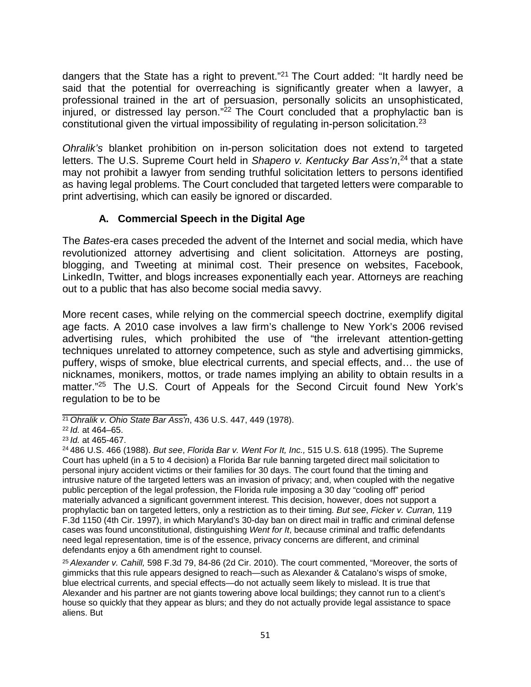dangers that the State has a right to prevent."21 The Court added: "It hardly need be said that the potential for overreaching is significantly greater when a lawyer, a professional trained in the art of persuasion, personally solicits an unsophisticated, injured, or distressed lay person."<sup>22</sup> The Court concluded that a prophylactic ban is constitutional given the virtual impossibility of regulating in-person solicitation.23

*Ohralik's* blanket prohibition on in-person solicitation does not extend to targeted letters. The U.S. Supreme Court held in Shapero v. Kentucky Bar Ass'n,<sup>24</sup> that a state may not prohibit a lawyer from sending truthful solicitation letters to persons identified as having legal problems. The Court concluded that targeted letters were comparable to print advertising, which can easily be ignored or discarded.

## **A. Commercial Speech in the Digital Age**

The *Bates*-era cases preceded the advent of the Internet and social media, which have revolutionized attorney advertising and client solicitation. Attorneys are posting, blogging, and Tweeting at minimal cost. Their presence on websites, Facebook, LinkedIn, Twitter, and blogs increases exponentially each year. Attorneys are reaching out to a public that has also become social media savvy.

More recent cases, while relying on the commercial speech doctrine, exemplify digital age facts. A 2010 case involves a law firm's challenge to New York's 2006 revised advertising rules, which prohibited the use of "the irrelevant attention-getting techniques unrelated to attorney competence, such as style and advertising gimmicks, puffery, wisps of smoke, blue electrical currents, and special effects, and… the use of nicknames, monikers, mottos, or trade names implying an ability to obtain results in a matter."25 The U.S. Court of Appeals for the Second Circuit found New York's regulation to be to be

<sup>21</sup>*Ohralik v. Ohio State Bar Ass'n*, 436 U.S. 447, 449 (1978).

<sup>22</sup>*Id.* at 464–65.

<sup>23</sup>*Id.* at 465-467.

<sup>24 486</sup> U.S. 466 (1988). *But see*, *Florida Bar v. Went For It, Inc.,* 515 U.S. 618 (1995). The Supreme Court has upheld (in a 5 to 4 decision) a Florida Bar rule banning targeted direct mail solicitation to personal injury accident victims or their families for 30 days. The court found that the timing and intrusive nature of the targeted letters was an invasion of privacy; and, when coupled with the negative public perception of the legal profession, the Florida rule imposing a 30 day "cooling off" period materially advanced a significant government interest. This decision, however, does not support a prophylactic ban on targeted letters, only a restriction as to their timing*. But see*, *Ficker v. Curran,* 119 F.3d 1150 (4th Cir. 1997), in which Maryland's 30-day ban on direct mail in traffic and criminal defense cases was found unconstitutional, distinguishing *Went for It*, because criminal and traffic defendants need legal representation, time is of the essence, privacy concerns are different, and criminal defendants enjoy a 6th amendment right to counsel.

<sup>25</sup>*Alexander v. Cahill,* 598 F.3d 79, 84-86 (2d Cir. 2010). The court commented, "Moreover, the sorts of gimmicks that this rule appears designed to reach—such as Alexander & Catalano's wisps of smoke, blue electrical currents, and special effects—do not actually seem likely to mislead. It is true that Alexander and his partner are not giants towering above local buildings; they cannot run to a client's house so quickly that they appear as blurs; and they do not actually provide legal assistance to space aliens. But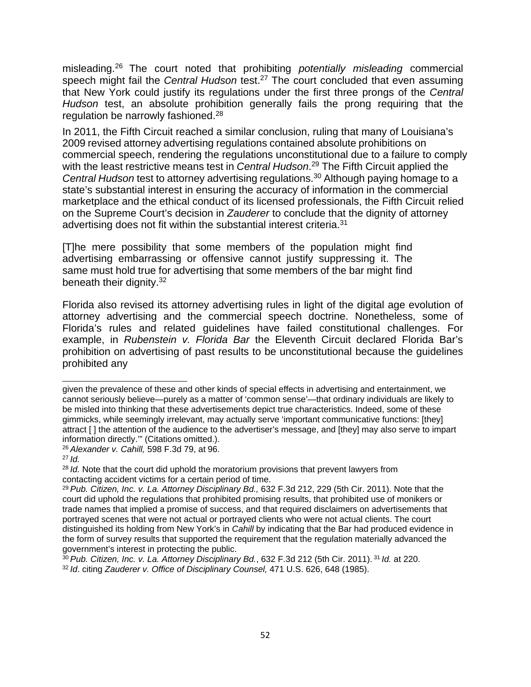misleading.26 The court noted that prohibiting *potentially misleading* commercial speech might fail the *Central Hudson* test.<sup>27</sup> The court concluded that even assuming that New York could justify its regulations under the first three prongs of the *Central Hudson* test, an absolute prohibition generally fails the prong requiring that the regulation be narrowly fashioned.28

In 2011, the Fifth Circuit reached a similar conclusion, ruling that many of Louisiana's 2009 revised attorney advertising regulations contained absolute prohibitions on commercial speech, rendering the regulations unconstitutional due to a failure to comply with the least restrictive means test in *Central Hudson*. 29 The Fifth Circuit applied the *Central Hudson* test to attorney advertising regulations.30 Although paying homage to a state's substantial interest in ensuring the accuracy of information in the commercial marketplace and the ethical conduct of its licensed professionals, the Fifth Circuit relied on the Supreme Court's decision in *Zauderer* to conclude that the dignity of attorney advertising does not fit within the substantial interest criteria.31

[T]he mere possibility that some members of the population might find advertising embarrassing or offensive cannot justify suppressing it. The same must hold true for advertising that some members of the bar might find beneath their dignity.<sup>32</sup>

Florida also revised its attorney advertising rules in light of the digital age evolution of attorney advertising and the commercial speech doctrine. Nonetheless, some of Florida's rules and related guidelines have failed constitutional challenges. For example, in *Rubenstein v. Florida Bar* the Eleventh Circuit declared Florida Bar's prohibition on advertising of past results to be unconstitutional because the guidelines prohibited any

given the prevalence of these and other kinds of special effects in advertising and entertainment, we cannot seriously believe—purely as a matter of 'common sense'—that ordinary individuals are likely to be misled into thinking that these advertisements depict true characteristics. Indeed, some of these gimmicks, while seemingly irrelevant, may actually serve 'important communicative functions: [they] attract [ ] the attention of the audience to the advertiser's message, and [they] may also serve to impart information directly.'" (Citations omitted.).

<sup>26</sup>*Alexander v. Cahill,* 598 F.3d 79, at 96.

<sup>27</sup>*Id.* 

<sup>&</sup>lt;sup>28</sup> *Id.* Note that the court did uphold the moratorium provisions that prevent lawyers from contacting accident victims for a certain period of time.

<sup>29</sup>*Pub. Citizen, Inc. v. La. Attorney Disciplinary Bd.,* 632 F.3d 212, 229 (5th Cir. 2011). Note that the court did uphold the regulations that prohibited promising results, that prohibited use of monikers or trade names that implied a promise of success, and that required disclaimers on advertisements that portrayed scenes that were not actual or portrayed clients who were not actual clients. The court distinguished its holding from New York's in *Cahill* by indicating that the Bar had produced evidence in the form of survey results that supported the requirement that the regulation materially advanced the government's interest in protecting the public.

<sup>30</sup>*Pub. Citizen, Inc. v. La. Attorney Disciplinary Bd.*, 632 F.3d 212 (5th Cir. 2011). 31 *Id.* at 220. 32 *Id*. citing *Zauderer v. Office of Disciplinary Counsel,* 471 U.S. 626, 648 (1985).